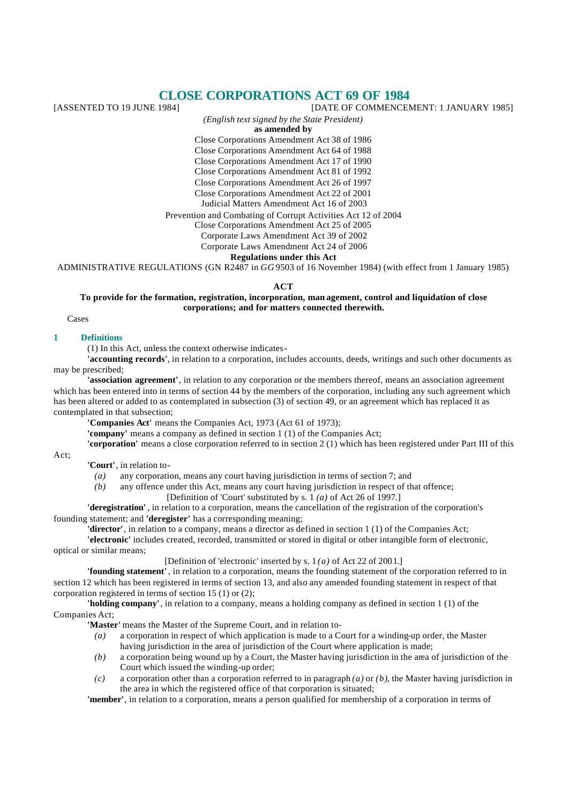# **CLOSE CORPORATIONS ACT 69 OF 1984**<br>[DATE OF COMMENCE] [DATE OF COMMENCEMENT: 1 JANUARY 1985]

*(English text signed by the State President)*

**as amended by**

Close Corporations Amendment Act 38 of 1986

Close Corporations Amendment Act 64 of 1988

Close Corporations Amendment Act 17 of 1990

Close Corporations Amendment Act 81 of 1992

Close Corporations Amendment Act 26 of 1997 Close Corporations Amendment Act 22 of 2001

Judicial Matters Amendment Act 16 of 2003

Prevention and Combating of Corrupt Activities Act 12 of 2004

Close Corporations Amendment Act 25 of 2005

Corporate Laws Amendment Act 39 of 2002

Corporate Laws Amendment Act 24 of 2006

**Regulations under this Act**

ADMINISTRATIVE REGULATIONS (GN R2487 in *GG* 9503 of 16 November 1984) (with effect from 1 January 1985)

**ACT**

**To provide for the formation, registration, incorporation, man agement, control and liquidation of close corporations; and for matters connected therewith.**

Cases

## **1 Definitions**

(1) In this Act, unless the context otherwise indicates-

**'accounting records'**, in relation to a corporation, includes accounts, deeds, writings and such other documents as may be prescribed;

**'association agreement'**, in relation to any corporation or the members thereof, means an association agreement which has been entered into in terms of section 44 by the members of the corporation, including any such agreement which has been altered or added to as contemplated in subsection (3) of section 49, or an agreement which has replaced it as contemplated in that subsection;

**'Companies Act'** means the Companies Act, 1973 (Act 61 of 1973);

**'company'** means a company as defined in section 1 (1) of the Companies Act;

**'corporation'** means a close corporation referred to in section 2 (1) which has been registered under Part III of this

Act; **'Court'**, in relation to-

*(a)* any corporation, means any court having jurisdiction in terms of section 7; and

*(b)* any offence under this Act, means any court having jurisdiction in respect of that offence;

[Definition of 'Court' substituted by s. 1 *(a)* of Act 26 of 1997.]

**'deregistration'** , in relation to a corporation, means the cancellation of the registration of the corporation's founding statement; and **'deregister'** has a corresponding meaning;

**'director'**, in relation to a company, means a director as defined in section 1 (1) of the Companies Act;

**'electronic'** includes created, recorded, transmitted or stored in digital or other intangible form of electronic, optical or similar means;

[Definition of 'electronic' inserted by s. 1 *(a)* of Act 22 of 2001.]

**'founding statement'** , in relation to a corporation, means the founding statement of the corporation referred to in section 12 which has been registered in terms of section 13, and also any amended founding statement in respect of that corporation registered in terms of section 15 (1) or (2);

**'holding company'**, in relation to a company, means a holding company as defined in section 1 (1) of the Companies Act;

**'Master'** means the Master of the Supreme Court, and in relation to-

- *(a)* a corporation in respect of which application is made to a Court for a winding-up order, the Master having jurisdiction in the area of jurisdiction of the Court where application is made;
- *(b)* a corporation being wound up by a Court, the Master having jurisdiction in the area of jurisdiction of the Court which issued the winding-up order;
- *(c)* a corporation other than a corporation referred to in paragraph *(a)* or *(b)*, the Master having jurisdiction in the area in which the registered office of that corporation is situated;

**'member'**, in relation to a corporation, means a person qualified for membership of a corporation in terms of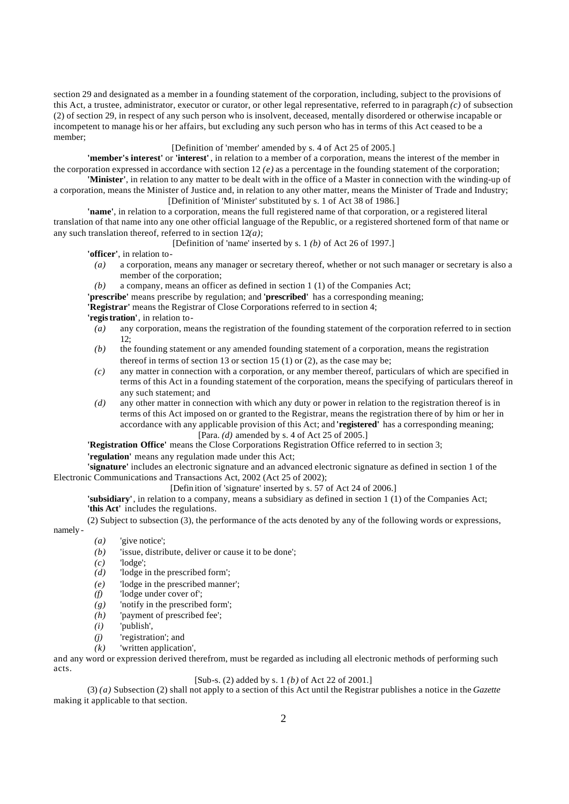section 29 and designated as a member in a founding statement of the corporation, including, subject to the provisions of this Act, a trustee, administrator, executor or curator, or other legal representative, referred to in paragraph *(c)* of subsection (2) of section 29, in respect of any such person who is insolvent, deceased, mentally disordered or otherwise incapable or incompetent to manage his or her affairs, but excluding any such person who has in terms of this Act ceased to be a member;

[Definition of 'member' amended by s. 4 of Act 25 of 2005.]

**'member's interest'** or **'interest'** , in relation to a member of a corporation, means the interest of the member in the corporation expressed in accordance with section  $12$  (e) as a percentage in the founding statement of the corporation;

**'Minister'**, in relation to any matter to be dealt with in the office of a Master in connection with the winding-up of a corporation, means the Minister of Justice and, in relation to any other matter, means the Minister of Trade and Industry; [Definition of 'Minister' substituted by s. 1 of Act 38 of 1986.]

**'name'**, in relation to a corporation, means the full registered name of that corporation, or a registered literal translation of that name into any one other official language of the Republic, or a registered shortened form of that name or any such translation thereof, referred to in section 12*(a)*;

[Definition of 'name' inserted by s. 1 *(b)* of Act 26 of 1997.]

**'officer'**, in relation to-

- *(a)* a corporation, means any manager or secretary thereof, whether or not such manager or secretary is also a member of the corporation;
- *(b)* a company, means an officer as defined in section 1 (1) of the Companies Act;
- **'prescribe'** means prescribe by regulation; and **'prescribed'** has a corresponding meaning;

**'Registrar'** means the Registrar of Close Corporations referred to in section 4; **'registration'**, in relation to-

- *(a)* any corporation, means the registration of the founding statement of the corporation referred to in section 12;
- *(b)* the founding statement or any amended founding statement of a corporation, means the registration thereof in terms of section 13 or section 15 (1) or (2), as the case may be;
- *(c)* any matter in connection with a corporation, or any member thereof, particulars of which are specified in terms of this Act in a founding statement of the corporation, means the specifying of particulars thereof in any such statement; and
- *(d)* any other matter in connection with which any duty or power in relation to the registration thereof is in terms of this Act imposed on or granted to the Registrar, means the registration there of by him or her in accordance with any applicable provision of this Act; and **'registered'** has a corresponding meaning; [Para. *(d)* amended by s. 4 of Act 25 of 2005.]

**'Registration Office'** means the Close Corporations Registration Office referred to in section 3;

**'regulation'** means any regulation made under this Act;

**'signature'** includes an electronic signature and an advanced electronic signature as defined in section 1 of the Electronic Communications and Transactions Act, 2002 (Act 25 of 2002);

[Defin ition of 'signature' inserted by s. 57 of Act 24 of 2006.]

**'subsidiary'**, in relation to a company, means a subsidiary as defined in section 1 (1) of the Companies Act; **'this Act'** includes the regulations.

(2) Subject to subsection (3), the performance of the acts denoted by any of the following words or expressions,

namely -

- *(a)* 'give notice';
- *(b)* 'issue, distribute, deliver or cause it to be done';
- *(c)* 'lodge';
- *(d)* 'lodge in the prescribed form';
- *(e)* 'lodge in the prescribed manner';
- *(f)* 'lodge under cover of';
- *(g)* 'notify in the prescribed form';
- *(h)* 'payment of prescribed fee';
- *(i)* 'publish',
- *(j)* 'registration'; and
- *(k)* 'written application',

and any word or expression derived therefrom, must be regarded as including all electronic methods of performing such acts.

# [Sub-s. (2) added by s. 1 *(b)* of Act 22 of 2001.]

(3) *(a)* Subsection (2) shall not apply to a section of this Act until the Registrar publishes a notice in the *Gazette* making it applicable to that section.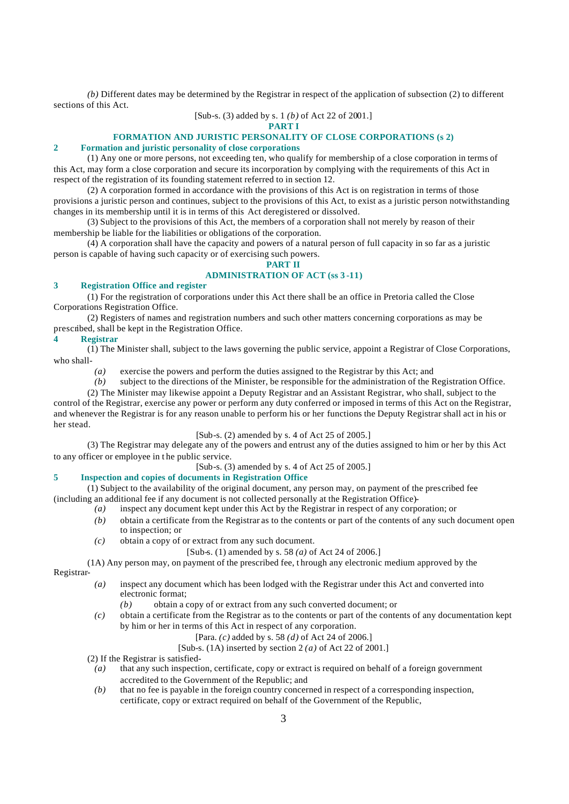*(b)* Different dates may be determined by the Registrar in respect of the application of subsection (2) to different sections of this Act.

[Sub-s. (3) added by s. 1 *(b)* of Act 22 of 2001.]

# **PART I**

# **FORMATION AND JURISTIC PERSONALITY OF CLOSE CORPORATIONS (s 2)**

# **2 Formation and juristic personality of close corporations**

(1) Any one or more persons, not exceeding ten, who qualify for membership of a close corporation in terms of this Act, may form a close corporation and secure its incorporation by complying with the requirements of this Act in respect of the registration of its founding statement referred to in section 12.

(2) A corporation formed in accordance with the provisions of this Act is on registration in terms of those provisions a juristic person and continues, subject to the provisions of this Act, to exist as a juristic person notwithstanding changes in its membership until it is in terms of this Act deregistered or dissolved.

(3) Subject to the provisions of this Act, the members of a corporation shall not merely by reason of their membership be liable for the liabilities or obligations of the corporation.

(4) A corporation shall have the capacity and powers of a natural person of full capacity in so far as a juristic person is capable of having such capacity or of exercising such powers.

## **PART II ADMINISTRATION OF ACT (ss 3 -11)**

# **3 Registration Office and register**

(1) For the registration of corporations under this Act there shall be an office in Pretoria called the Close Corporations Registration Office.

(2) Registers of names and registration numbers and such other matters concerning corporations as may be prescribed, shall be kept in the Registration Office.

## **4 Registrar**

(1) The Minister shall, subject to the laws governing the public service, appoint a Registrar of Close Corporations, who shall-

*(a)* exercise the powers and perform the duties assigned to the Registrar by this Act; and *(b)* subject to the directions of the Minister, be responsible for the administration of the R

subject to the directions of the Minister, be responsible for the administration of the Registration Office.

(2) The Minister may likewise appoint a Deputy Registrar and an Assistant Registrar, who shall, subject to the control of the Registrar, exercise any power or perform any duty conferred or imposed in terms of this Act on the Registrar, and whenever the Registrar is for any reason unable to perform his or her functions the Deputy Registrar shall act in his or her stead.

## [Sub-s. (2) amended by s. 4 of Act 25 of 2005.]

(3) The Registrar may delegate any of the powers and entrust any of the duties assigned to him or her by this Act to any officer or employee in t he public service.

[Sub-s. (3) amended by s. 4 of Act 25 of 2005.]

# **5 Inspection and copies of documents in Registration Office**

(1) Subject to the availability of the original document, any person may, on payment of the prescribed fee (including an additional fee if any document is not collected personally at the Registration Office)-

- *(a)* inspect any document kept under this Act by the Registrar in respect of any corporation; or
- *(b)* obtain a certificate from the Registrar as to the contents or part of the contents of any such document open to inspection; or
- *(c)* obtain a copy of or extract from any such document.
	- [Sub-s. (1) amended by s. 58 *(a)* of Act 24 of 2006.]

(1A) Any person may, on payment of the prescribed fee, t hrough any electronic medium approved by the

- Registrar-
	- *(a)* inspect any document which has been lodged with the Registrar under this Act and converted into electronic format;
		- *(b)* obtain a copy of or extract from any such converted document; or
	- *(c)* obtain a certificate from the Registrar as to the contents or part of the contents of any documentation kept by him or her in terms of this Act in respect of any corporation.

# [Para. *(c)* added by s. 58 *(d)* of Act 24 of 2006.]

[Sub-s. (1A) inserted by section 2 *(a)* of Act 22 of 2001.]

(2) If the Registrar is satisfied-

- *(a)* that any such inspection, certificate, copy or extract is required on behalf of a foreign government accredited to the Government of the Republic; and
- *(b)* that no fee is payable in the foreign country concerned in respect of a corresponding inspection, certificate, copy or extract required on behalf of the Government of the Republic,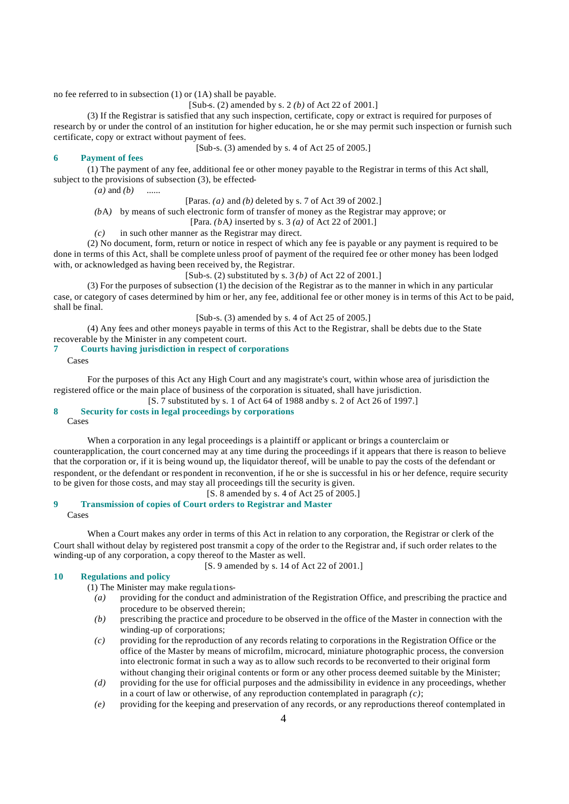no fee referred to in subsection (1) or (1A) shall be payable.

[Sub-s. (2) amended by s. 2 *(b)* of Act 22 of 2001.]

(3) If the Registrar is satisfied that any such inspection, certificate, copy or extract is required for purposes of research by or under the control of an institution for higher education, he or she may permit such inspection or furnish such certificate, copy or extract without payment of fees.

[Sub-s. (3) amended by s. 4 of Act 25 of 2005.]

# **6 Payment of fees**

(1) The payment of any fee, additional fee or other money payable to the Registrar in terms of this Act shall, subject to the provisions of subsection (3), be effected-

*(a)* and *(b)* ......

[Paras. *(a)* and *(b)* deleted by s. 7 of Act 39 of 2002.]

*(b*A*)* by means of such electronic form of transfer of money as the Registrar may approve; or

[Para. *(b*A*)* inserted by s. 3 *(a)* of Act 22 of 2001.]

*(c)* in such other manner as the Registrar may direct.

(2) No document, form, return or notice in respect of which any fee is payable or any payment is required to be done in terms of this Act, shall be complete unless proof of payment of the required fee or other money has been lodged with, or acknowledged as having been received by, the Registrar.

[Sub-s. (2) substituted by s. 3 *(b)* of Act 22 of 2001.]

(3) For the purposes of subsection (1) the decision of the Registrar as to the manner in which in any particular case, or category of cases determined by him or her, any fee, additional fee or other money is in terms of this Act to be paid, shall be final.

[Sub-s. (3) amended by s. 4 of Act 25 of 2005.]

(4) Any fees and other moneys payable in terms of this Act to the Registrar, shall be debts due to the State recoverable by the Minister in any competent court.

# **7 Courts having jurisdiction in respect of corporations**

Cases

For the purposes of this Act any High Court and any magistrate's court, within whose area of jurisdiction the registered office or the main place of business of the corporation is situated, shall have jurisdiction.

[S. 7 substituted by s. 1 of Act 64 of 1988 and by s. 2 of Act 26 of 1997.]

# **8 Security for costs in legal proceedings by corporations**

Cases

When a corporation in any legal proceedings is a plaintiff or applicant or brings a counterclaim or counterapplication, the court concerned may at any time during the proceedings if it appears that there is reason to believe that the corporation or, if it is being wound up, the liquidator thereof, will be unable to pay the costs of the defendant or respondent, or the defendant or respondent in reconvention, if he or she is successful in his or her defence, require security to be given for those costs, and may stay all proceedings till the security is given.

[S. 8 amended by s. 4 of Act 25 of 2005.]

**9 Transmission of copies of Court orders to Registrar and Master**

Cases

When a Court makes any order in terms of this Act in relation to any corporation, the Registrar or clerk of the Court shall without delay by registered post transmit a copy of the order to the Registrar and, if such order relates to the winding-up of any corporation, a copy thereof to the Master as well.

[S. 9 amended by s. 14 of Act 22 of 2001.]

# **10 Regulations and policy**

(1) The Minister may make regula tions-

- *(a)* providing for the conduct and administration of the Registration Office, and prescribing the practice and procedure to be observed therein;
- *(b)* prescribing the practice and procedure to be observed in the office of the Master in connection with the winding-up of corporations;
- *(c)* providing for the reproduction of any records relating to corporations in the Registration Office or the office of the Master by means of microfilm, microcard, miniature photographic process, the conversion into electronic format in such a way as to allow such records to be reconverted to their original form without changing their original contents or form or any other process deemed suitable by the Minister;
- *(d)* providing for the use for official purposes and the admissibility in evidence in any proceedings, whether in a court of law or otherwise, of any reproduction contemplated in paragraph *(c)*;
- *(e)* providing for the keeping and preservation of any records, or any reproductions thereof contemplated in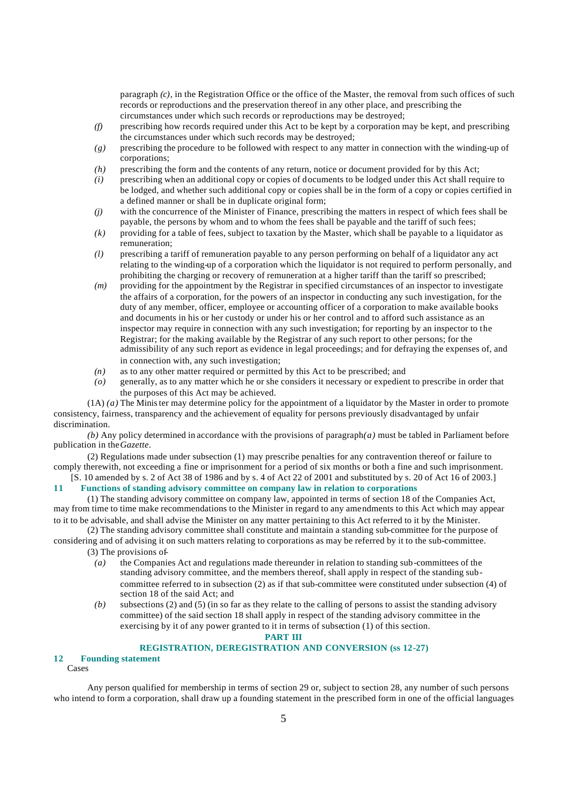paragraph  $(c)$ , in the Registration Office or the office of the Master, the removal from such offices of such records or reproductions and the preservation thereof in any other place, and prescribing the circumstances under which such records or reproductions may be destroyed;

- *(f)* prescribing how records required under this Act to be kept by a corporation may be kept, and prescribing the circumstances under which such records may be destroyed;
- *(g)* prescribing the procedure to be followed with respect to any matter in connection with the winding-up of corporations;
- *(h)* prescribing the form and the contents of any return, notice or document provided for by this Act;
- *(i)* prescribing when an additional copy or copies of documents to be lodged under this Act shall require to be lodged, and whether such additional copy or copies shall be in the form of a copy or copies certified in a defined manner or shall be in duplicate original form;
- *(j)* with the concurrence of the Minister of Finance, prescribing the matters in respect of which fees shall be payable, the persons by whom and to whom the fees shall be payable and the tariff of such fees;
- *(k)* providing for a table of fees, subject to taxation by the Master, which shall be payable to a liquidator as remuneration;
- *(l)* prescribing a tariff of remuneration payable to any person performing on behalf of a liquidator any act relating to the winding-up of a corporation which the liquidator is not required to perform personally, and prohibiting the charging or recovery of remuneration at a higher tariff than the tariff so prescribed;
- *(m)* providing for the appointment by the Registrar in specified circumstances of an inspector to investigate the affairs of a corporation, for the powers of an inspector in conducting any such investigation, for the duty of any member, officer, employee or accounting officer of a corporation to make available books and documents in his or her custody or under his or her control and to afford such assistance as an inspector may require in connection with any such investigation; for reporting by an inspector to the Registrar; for the making available by the Registrar of any such report to other persons; for the admissibility of any such report as evidence in legal proceedings; and for defraying the expenses of, and in connection with, any such investigation;
- *(n)* as to any other matter required or permitted by this Act to be prescribed; and
- *(o)* generally, as to any matter which he or she considers it necessary or expedient to prescribe in order that the purposes of this Act may be achieved.

(1A) *(a)* The Minister may determine policy for the appointment of a liquidator by the Master in order to promote consistency, fairness, transparency and the achievement of equality for persons previously disadvantaged by unfair discrimination.

 $(b)$  Any policy determined in accordance with the provisions of paragraph $(a)$  must be tabled in Parliament before publication in the *Gazette*.

(2) Regulations made under subsection (1) may prescribe penalties for any contravention thereof or failure to comply therewith, not exceeding a fine or imprisonment for a period of six months or both a fine and such imprisonment.

[S. 10 amended by s. 2 of Act 38 of 1986 and by s. 4 of Act 22 of 2001 and substituted by s. 20 of Act 16 of 2003.] **11 Functions of standing advisory committee on company law in relation to corporations**

(1) The standing advisory committee on company law, appointed in terms of section 18 of the Companies Act, may from time to time make recommendations to the Minister in regard to any amendments to this Act which may appear to it to be advisable, and shall advise the Minister on any matter pertaining to this Act referred to it by the Minister.

(2) The standing advisory committee shall constitute and maintain a standing sub-committee for the purpose of considering and of advising it on such matters relating to corporations as may be referred by it to the sub-committee.

(3) The provisions of-

- *(a)* the Companies Act and regulations made thereunder in relation to standing sub-committees of the standing advisory committee, and the members thereof, shall apply in respect of the standing subcommittee referred to in subsection (2) as if that sub-committee were constituted under subsection (4) of section 18 of the said Act; and
- *(b)* subsections (2) and (5) (in so far as they relate to the calling of persons to assist the standing advisory committee) of the said section 18 shall apply in respect of the standing advisory committee in the exercising by it of any power granted to it in terms of subsection (1) of this section.

#### **PART III**

## **REGISTRATION, DEREGISTRATION AND CONVERSION (ss 12-27)**

# **12 Founding statement**

Cases

Any person qualified for membership in terms of section 29 or, subject to section 28, any number of such persons who intend to form a corporation, shall draw up a founding statement in the prescribed form in one of the official languages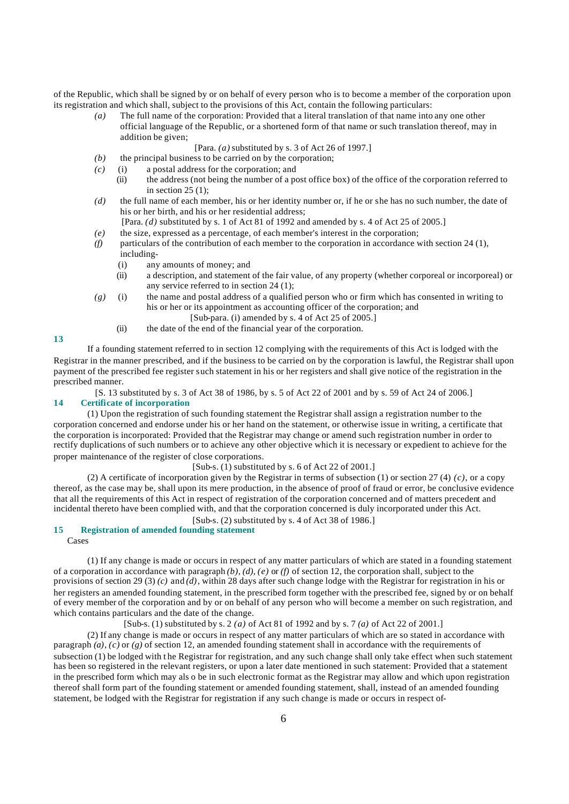of the Republic, which shall be signed by or on behalf of every person who is to become a member of the corporation upon its registration and which shall, subject to the provisions of this Act, contain the following particulars:

- *(a)* The full name of the corporation: Provided that a literal translation of that name into any one other official language of the Republic, or a shortened form of that name or such translation thereof, may in addition be given;
	- [Para. *(a)* substituted by s. 3 of Act 26 of 1997.]
- *(b)* the principal business to be carried on by the corporation;
- *(c)* (i) a postal address for the corporation; and
	- (ii) the address (not being the number of a post office box) of the office of the corporation referred to in section  $25(1)$ ;
- *(d)* the full name of each member, his or her identity number or, if he or she has no such number, the date of his or her birth, and his or her residential address;
	- [Para. *(d)* substituted by s. 1 of Act 81 of 1992 and amended by s. 4 of Act 25 of 2005.]
- *(e)* the size, expressed as a percentage, of each member's interest in the corporation;
- *(f)* particulars of the contribution of each member to the corporation in accordance with section 24 (1),
	- including- (i) any amounts of money; and
	- (ii) a description, and statement of the fair value, of any property (whether corporeal or incorporeal) or any service referred to in section 24 (1);
- *(g)* (i) the name and postal address of a qualified person who or firm which has consented in writing to his or her or its appointment as accounting officer of the corporation; and [Sub-para. (i) amended by s. 4 of Act 25 of 2005.]
	- (ii) the date of the end of the financial year of the corporation.

**13**

If a founding statement referred to in section 12 complying with the requirements of this Act is lodged with the Registrar in the manner prescribed, and if the business to be carried on by the corporation is lawful, the Registrar shall upon payment of the prescribed fee register such statement in his or her registers and shall give notice of the registration in the prescribed manner.

[S. 13 substituted by s. 3 of Act 38 of 1986, by s. 5 of Act 22 of 2001 and by s. 59 of Act 24 of 2006.] **14 Certificate of incorporation**

(1) Upon the registration of such founding statement the Registrar shall assign a registration number to the corporation concerned and endorse under his or her hand on the statement, or otherwise issue in writing, a certificate that the corporation is incorporated: Provided that the Registrar may change or amend such registration number in order to rectify duplications of such numbers or to achieve any other objective which it is necessary or expedient to achieve for the proper maintenance of the register of close corporations.

[Sub-s.  $(1)$  substituted by s. 6 of Act 22 of 2001.]

(2) A certificate of incorporation given by the Registrar in terms of subsection (1) or section 27 (4)  $(c)$ , or a copy thereof, as the case may be, shall upon its mere production, in the absence of proof of fraud or error, be conclusive evidence that all the requirements of this Act in respect of registration of the corporation concerned and of matters precedent and incidental thereto have been complied with, and that the corporation concerned is duly incorporated under this Act.

 $[Sub-s, (2)$  substituted by s. 4 of Act 38 of 1986.

# **15 Registration of amended founding statement**

Cases

(1) If any change is made or occurs in respect of any matter particulars of which are stated in a founding statement of a corporation in accordance with paragraph  $(b)$ ,  $(d)$ ,  $(e)$  or  $(f)$  of section 12, the corporation shall, subject to the provisions of section 29 (3) *(c)* and *(d)*, within 28 days after such change lodge with the Registrar for registration in his or her registers an amended founding statement, in the prescribed form together with the prescribed fee, signed by or on behalf of every member of the corporation and by or on behalf of any person who will become a member on such registration, and which contains particulars and the date of the change.

[Sub-s. (1) substituted by s. 2 *(a)* of Act 81 of 1992 and by s. 7 *(a)* of Act 22 of 2001.]

(2) If any change is made or occurs in respect of any matter particulars of which are so stated in accordance with paragraph  $(a)$ ,  $(c)$  or  $(g)$  of section 12, an amended founding statement shall in accordance with the requirements of subsection (1) be lodged with the Registrar for registration, and any such change shall only take effect when such statement has been so registered in the relevant registers, or upon a later date mentioned in such statement: Provided that a statement in the prescribed form which may als o be in such electronic format as the Registrar may allow and which upon registration thereof shall form part of the founding statement or amended founding statement, shall, instead of an amended founding statement, be lodged with the Registrar for registration if any such change is made or occurs in respect of-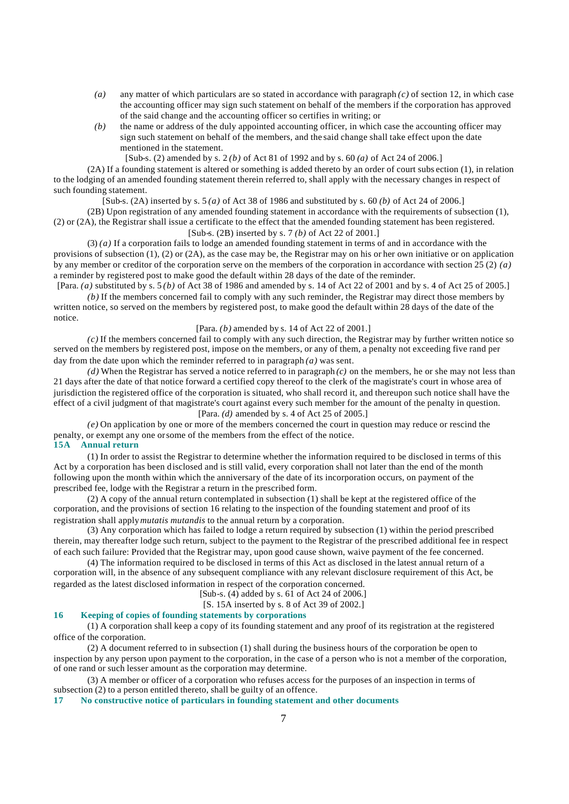- *(a)* any matter of which particulars are so stated in accordance with paragraph *(c)* of section 12, in which case the accounting officer may sign such statement on behalf of the members if the corporation has approved of the said change and the accounting officer so certifies in writing; or
- *(b)* the name or address of the duly appointed accounting officer, in which case the accounting officer may sign such statement on behalf of the members, and the said change shall take effect upon the date mentioned in the statement.

[Sub-s. (2) amended by s. 2 *(b)* of Act 81 of 1992 and by s. 60 *(a)* of Act 24 of 2006.]

(2A) If a founding statement is altered or something is added thereto by an order of court subs ection (1), in relation to the lodging of an amended founding statement therein referred to, shall apply with the necessary changes in respect of such founding statement.

[Sub-s. (2A) inserted by s. 5 *(a)* of Act 38 of 1986 and substituted by s. 60 *(b)* of Act 24 of 2006.]

(2B) Upon registration of any amended founding statement in accordance with the requirements of subsection (1), (2) or (2A), the Registrar shall issue a certificate to the effect that the amended founding statement has been registered.

# [Sub-s. (2B) inserted by s. 7 *(b)* of Act 22 of 2001.]

(3) *(a)* If a corporation fails to lodge an amended founding statement in terms of and in accordance with the provisions of subsection (1), (2) or (2A), as the case may be, the Registrar may on his or her own initiative or on application by any member or creditor of the corporation serve on the members of the corporation in accordance with section 25 (2) *(a)* a reminder by registered post to make good the default within 28 days of the date of the reminder. [Para. *(a)* substituted by s. 5 *(b)* of Act 38 of 1986 and amended by s. 14 of Act 22 of 2001 and by s. 4 of Act 25 of 2005.]

*(b)* If the members concerned fail to comply with any such reminder, the Registrar may direct those members by written notice, so served on the members by registered post, to make good the default within 28 days of the date of the notice.

## [Para. *(b)* amended by s. 14 of Act 22 of 2001.]

*(c)* If the members concerned fail to comply with any such direction, the Registrar may by further written notice so served on the members by registered post, impose on the members, or any of them, a penalty not exceeding five rand per day from the date upon which the reminder referred to in paragraph *(a)* was sent.

 $(d)$  When the Registrar has served a notice referred to in paragraph  $(c)$  on the members, he or she may not less than 21 days after the date of that notice forward a certified copy thereof to the clerk of the magistrate's court in whose area of jurisdiction the registered office of the corporation is situated, who shall record it, and thereupon such notice shall have the effect of a civil judgment of that magistrate's court against every such member for the amount of the penalty in question. [Para. *(d)* amended by s. 4 of Act 25 of 2005.]

*(e)* On application by one or more of the members concerned the court in question may reduce or rescind the penalty, or exempt any one or some of the members from the effect of the notice. **15A Annual return**

(1) In order to assist the Registrar to determine whether the information required to be disclosed in terms of this Act by a corporation has been disclosed and is still valid, every corporation shall not later than the end of the month following upon the month within which the anniversary of the date of its incorporation occurs, on payment of the prescribed fee, lodge with the Registrar a return in the prescribed form.

(2) A copy of the annual return contemplated in subsection (1) shall be kept at the registered office of the corporation, and the provisions of section 16 relating to the inspection of the founding statement and proof of its registration shall apply *mutatis mutandis* to the annual return by a corporation.

(3) Any corporation which has failed to lodge a return required by subsection (1) within the period prescribed therein, may thereafter lodge such return, subject to the payment to the Registrar of the prescribed additional fee in respect of each such failure: Provided that the Registrar may, upon good cause shown, waive payment of the fee concerned.

(4) The information required to be disclosed in terms of this Act as disclosed in the latest annual return of a corporation will, in the absence of any subsequent compliance with any relevant disclosure requirement of this Act, be regarded as the latest disclosed information in respect of the corporation concerned.

[Sub-s. (4) added by s. 61 of Act 24 of 2006.]

[S. 15A inserted by s. 8 of Act 39 of 2002.]

# **16 Keeping of copies of founding statements by corporations**

(1) A corporation shall keep a copy of its founding statement and any proof of its registration at the registered office of the corporation.

(2) A document referred to in subsection (1) shall during the business hours of the corporation be open to inspection by any person upon payment to the corporation, in the case of a person who is not a member of the corporation, of one rand or such lesser amount as the corporation may determine.

(3) A member or officer of a corporation who refuses access for the purposes of an inspection in terms of subsection (2) to a person entitled thereto, shall be guilty of an offence.

# **17 No constructive notice of particulars in founding statement and other documents**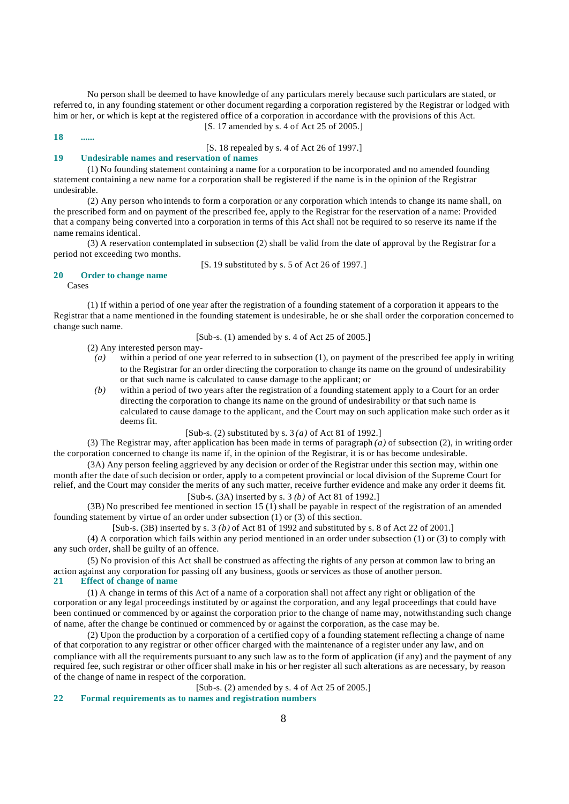No person shall be deemed to have knowledge of any particulars merely because such particulars are stated, or referred to, in any founding statement or other document regarding a corporation registered by the Registrar or lodged with him or her, or which is kept at the registered office of a corporation in accordance with the provisions of this Act. [S. 17 amended by s. 4 of Act 25 of 2005.]

**18 ......** [S. 18 repealed by s. 4 of Act 26 of 1997.]

## **19 Undesirable names and reservation of names**

(1) No founding statement containing a name for a corporation to be incorporated and no amended founding statement containing a new name for a corporation shall be registered if the name is in the opinion of the Registrar undesirable.

(2) Any person who intends to form a corporation or any corporation which intends to change its name shall, on the prescribed form and on payment of the prescribed fee, apply to the Registrar for the reservation of a name: Provided that a company being converted into a corporation in terms of this Act shall not be required to so reserve its name if the name remains identical.

(3) A reservation contemplated in subsection (2) shall be valid from the date of approval by the Registrar for a period not exceeding two months.

[S. 19 substituted by s. 5 of Act 26 of 1997.]

## **20 Order to change name**

Cases

(1) If within a period of one year after the registration of a founding statement of a corporation it appears to the Registrar that a name mentioned in the founding statement is undesirable, he or she shall order the corporation concerned to change such name.

[Sub-s. (1) amended by s. 4 of Act 25 of 2005.]

- (2) Any interested person may-
	- *(a)* within a period of one year referred to in subsection (1), on payment of the prescribed fee apply in writing to the Registrar for an order directing the corporation to change its name on the ground of undesirability or that such name is calculated to cause damage to the applicant; or
- *(b)* within a period of two years after the registration of a founding statement apply to a Court for an order directing the corporation to change its name on the ground of undesirability or that such name is calculated to cause damage to the applicant, and the Court may on such application make such order as it deems fit.

[Sub-s. (2) substituted by s. 3 *(a)* of Act 81 of 1992.]

(3) The Registrar may, after application has been made in terms of paragraph *(a)* of subsection (2), in writing order the corporation concerned to change its name if, in the opinion of the Registrar, it is or has become undesirable.

(3A) Any person feeling aggrieved by any decision or order of the Registrar under this section may, within one month after the date of such decision or order, apply to a competent provincial or local division of the Supreme Court for relief, and the Court may consider the merits of any such matter, receive further evidence and make any order it deems fit.

[Sub-s. (3A) inserted by s. 3 *(b)* of Act 81 of 1992.]

(3B) No prescribed fee mentioned in section 15 (1) shall be payable in respect of the registration of an amended founding statement by virtue of an order under subsection (1) or (3) of this section.

[Sub-s. (3B) inserted by s. 3 *(b)* of Act 81 of 1992 and substituted by s. 8 of Act 22 of 2001.]

(4) A corporation which fails within any period mentioned in an order under subsection (1) or (3) to comply with any such order, shall be guilty of an offence.

(5) No provision of this Act shall be construed as affecting the rights of any person at common law to bring an action against any corporation for passing off any business, goods or services as those of another person.

# **21 Effect of change of name**

(1) A change in terms of this Act of a name of a corporation shall not affect any right or obligation of the corporation or any legal proceedings instituted by or against the corporation, and any legal proceedings that could have been continued or commenced by or against the corporation prior to the change of name may, notwithstanding such change of name, after the change be continued or commenced by or against the corporation, as the case may be.

(2) Upon the production by a corporation of a certified copy of a founding statement reflecting a change of name of that corporation to any registrar or other officer charged with the maintenance of a register under any law, and on compliance with all the requirements pursuant to any such law as to the form of application (if any) and the payment of any required fee, such registrar or other officer shall make in his or her register all such alterations as are necessary, by reason of the change of name in respect of the corporation.

[Sub-s. (2) amended by s. 4 of Act 25 of 2005.]

**22 Formal requirements as to names and registration numbers**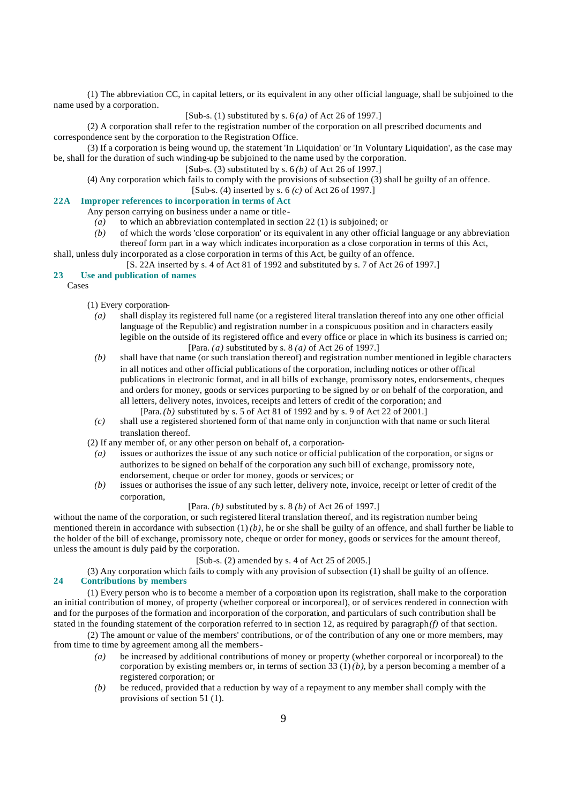(1) The abbreviation CC, in capital letters, or its equivalent in any other official language, shall be subjoined to the name used by a corporation.

### [Sub-s. (1) substituted by s. 6 *(a)* of Act 26 of 1997.]

(2) A corporation shall refer to the registration number of the corporation on all prescribed documents and correspondence sent by the corporation to the Registration Office.

(3) If a corporation is being wound up, the statement 'In Liquidation' or 'In Voluntary Liquidation', as the case may be, shall for the duration of such winding-up be subjoined to the name used by the corporation.

# [Sub-s. (3) substituted by s. 6 *(b)* of Act 26 of 1997.]

(4) Any corporation which fails to comply with the provisions of subsection (3) shall be guilty of an offence.

[Sub-s. (4) inserted by s. 6 *(c)* of Act 26 of 1997.]

# **22A Improper references to incorporation in terms of Act**

#### Any person carrying on business under a name or title-

- *(a)* to which an abbreviation contemplated in section 22 (1) is subjoined; or
- *(b)* of which the words 'close corporation' or its equivalent in any other official language or any abbreviation thereof form part in a way which indicates incorporation as a close corporation in terms of this Act, shall, unless duly incorporated as a close corporation in terms of this Act, be guilty of an offence.

[S. 22A inserted by s. 4 of Act 81 of 1992 and substituted by s. 7 of Act 26 of 1997.]

#### **23 Use and publication of names**

Cases

- (1) Every corporation-
	- *(a)* shall display its registered full name (or a registered literal translation thereof into any one other official language of the Republic) and registration number in a conspicuous position and in characters easily legible on the outside of its registered office and every office or place in which its business is carried on; [Para. *(a)* substituted by s. 8 *(a)* of Act 26 of 1997.]
	- *(b)* shall have that name (or such translation thereof) and registration number mentioned in legible characters in all notices and other official publications of the corporation, including notices or other offical publications in electronic format, and in all bills of exchange, promissory notes, endorsements, cheques and orders for money, goods or services purporting to be signed by or on behalf of the corporation, and all letters, delivery notes, invoices, receipts and letters of credit of the corporation; and [Para. *(b)* substituted by s. 5 of Act 81 of 1992 and by s. 9 of Act 22 of 2001.]
	- *(c)* shall use a registered shortened form of that name only in conjunction with that name or such literal translation thereof.
- (2) If any member of, or any other person on behalf of, a corporation-
	- *(a)* issues or authorizes the issue of any such notice or official publication of the corporation, or signs or authorizes to be signed on behalf of the corporation any such bill of exchange, promissory note, endorsement, cheque or order for money, goods or services; or
	- *(b)* issues or authorises the issue of any such letter, delivery note, invoice, receipt or letter of credit of the corporation,

# [Para. *(b)* substituted by s. 8 *(b)* of Act 26 of 1997.]

without the name of the corporation, or such registered literal translation thereof, and its registration number being mentioned therein in accordance with subsection  $(1)(b)$ , he or she shall be guilty of an offence, and shall further be liable to the holder of the bill of exchange, promissory note, cheque or order for money, goods or services for the amount thereof, unless the amount is duly paid by the corporation.

# $[Sub-s, (2)$  amended by s. 4 of Act 25 of 2005.

(3) Any corporation which fails to comply with any provision of subsection (1) shall be guilty of an offence. **24 Contributions by members**

(1) Every person who is to become a member of a corporation upon its registration, shall make to the corporation an initial contribution of money, of property (whether corporeal or incorporeal), or of services rendered in connection with and for the purposes of the formation and incorporation of the corporation, and particulars of such contribution shall be stated in the founding statement of the corporation referred to in section 12, as required by paragraph *(f)* of that section.

(2) The amount or value of the members' contributions, or of the contribution of any one or more members, may from time to time by agreement among all the members-

- *(a)* be increased by additional contributions of money or property (whether corporeal or incorporeal) to the corporation by existing members or, in terms of section  $33 (1)(b)$ , by a person becoming a member of a registered corporation; or
- *(b)* be reduced, provided that a reduction by way of a repayment to any member shall comply with the provisions of section 51 (1).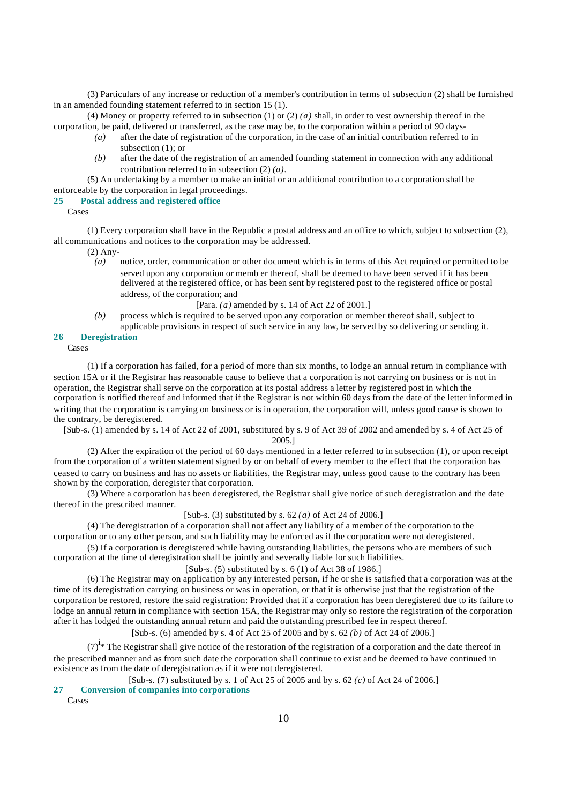(3) Particulars of any increase or reduction of a member's contribution in terms of subsection (2) shall be furnished in an amended founding statement referred to in section 15 (1).

(4) Money or property referred to in subsection (1) or (2) *(a)* shall, in order to vest ownership thereof in the corporation, be paid, delivered or transferred, as the case may be, to the corporation within a period of 90 days-

- *(a)* after the date of registration of the corporation, in the case of an initial contribution referred to in subsection (1); or
- *(b)* after the date of the registration of an amended founding statement in connection with any additional contribution referred to in subsection (2) *(a)*.

(5) An undertaking by a member to make an initial or an additional contribution to a corporation shall be enforceable by the corporation in legal proceedings.

#### **25 Postal address and registered office**

Cases

(1) Every corporation shall have in the Republic a postal address and an office to which, subject to subsection (2), all communications and notices to the corporation may be addressed.

(2) Any-

*(a)* notice, order, communication or other document which is in terms of this Act required or permitted to be served upon any corporation or memb er thereof, shall be deemed to have been served if it has been delivered at the registered office, or has been sent by registered post to the registered office or postal address, of the corporation; and

[Para. *(a)* amended by s. 14 of Act 22 of 2001.]

*(b)* process which is required to be served upon any corporation or member thereof shall, subject to applicable provisions in respect of such service in any law, be served by so delivering or sending it.

#### **26 Deregistration**

Cases

(1) If a corporation has failed, for a period of more than six months, to lodge an annual return in compliance with section 15A or if the Registrar has reasonable cause to believe that a corporation is not carrying on business or is not in operation, the Registrar shall serve on the corporation at its postal address a letter by registered post in which the corporation is notified thereof and informed that if the Registrar is not within 60 days from the date of the letter informed in writing that the corporation is carrying on business or is in operation, the corporation will, unless good cause is shown to the contrary, be deregistered.

[Sub-s. (1) amended by s. 14 of Act 22 of 2001, substituted by s. 9 of Act 39 of 2002 and amended by s. 4 of Act 25 of 2005.]

(2) After the expiration of the period of 60 days mentioned in a letter referred to in subsection (1), or upon receipt from the corporation of a written statement signed by or on behalf of every member to the effect that the corporation has ceased to carry on business and has no assets or liabilities, the Registrar may, unless good cause to the contrary has been shown by the corporation, deregister that corporation.

(3) Where a corporation has been deregistered, the Registrar shall give notice of such deregistration and the date thereof in the prescribed manner.

[Sub-s. (3) substituted by s. 62 *(a)* of Act 24 of 2006.]

(4) The deregistration of a corporation shall not affect any liability of a member of the corporation to the corporation or to any other person, and such liability may be enforced as if the corporation were not deregistered.

(5) If a corporation is deregistered while having outstanding liabilities, the persons who are members of such corporation at the time of deregistration shall be jointly and severally liable for such liabilities.

[Sub-s.  $(5)$  substituted by s.  $6(1)$  of Act 38 of 1986.]

(6) The Registrar may on application by any interested person, if he or she is satisfied that a corporation was at the time of its deregistration carrying on business or was in operation, or that it is otherwise just that the registration of the corporation be restored, restore the said registration: Provided that if a corporation has been deregistered due to its failure to lodge an annual return in compliance with section 15A, the Registrar may only so restore the registration of the corporation after it has lodged the outstanding annual return and paid the outstanding prescribed fee in respect thereof.

[Sub-s. (6) amended by s. 4 of Act 25 of 2005 and by s. 62 *(b)* of Act 24 of 2006.]

 $(7)^{i}$ <sup>\*</sup> The Registrar shall give notice of the restoration of the registration of a corporation and the date thereof in the prescribed manner and as from such date the corporation shall continue to exist and be deemed to have continued in existence as from the date of deregistration as if it were not deregistered.

## [Sub-s. (7) substituted by s. 1 of Act 25 of 2005 and by s. 62 *(c)* of Act 24 of 2006.]

**27 Conversion of companies into corporations**

Cases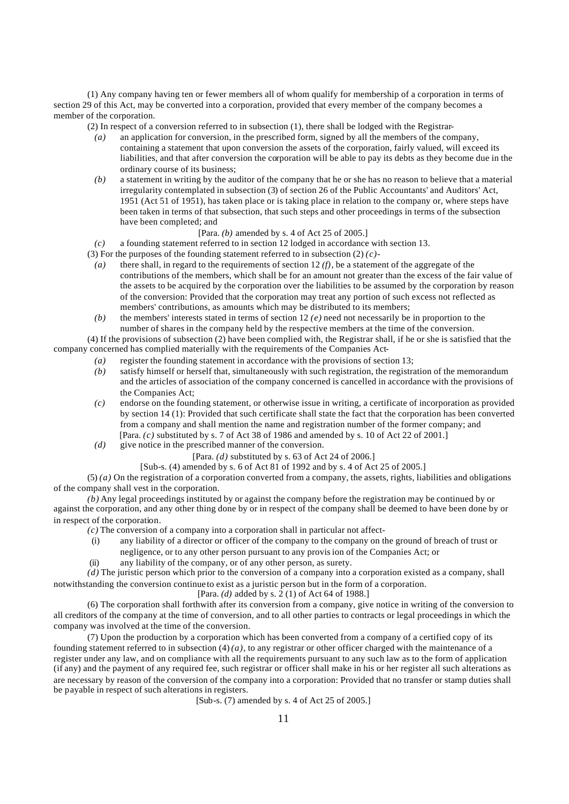(1) Any company having ten or fewer members all of whom qualify for membership of a corporation in terms of section 29 of this Act, may be converted into a corporation, provided that every member of the company becomes a member of the corporation.

(2) In respect of a conversion referred to in subsection (1), there shall be lodged with the Registrar-

- *(a)* an application for conversion, in the prescribed form, signed by all the members of the company, containing a statement that upon conversion the assets of the corporation, fairly valued, will exceed its liabilities, and that after conversion the corporation will be able to pay its debts as they become due in the ordinary course of its business;
- *(b)* a statement in writing by the auditor of the company that he or she has no reason to believe that a material irregularity contemplated in subsection (3) of section 26 of the Public Accountants' and Auditors' Act, 1951 (Act 51 of 1951), has taken place or is taking place in relation to the company or, where steps have been taken in terms of that subsection, that such steps and other proceedings in terms of the subsection have been completed; and

#### [Para. *(b)* amended by s. 4 of Act 25 of 2005.]

*(c)* a founding statement referred to in section 12 lodged in accordance with section 13.

(3) For the purposes of the founding statement referred to in subsection (2) *(c)*-

- *(a)* there shall, in regard to the requirements of section 12 *(f)*, be a statement of the aggregate of the contributions of the members, which shall be for an amount not greater than the excess of the fair value of the assets to be acquired by the corporation over the liabilities to be assumed by the corporation by reason of the conversion: Provided that the corporation may treat any portion of such excess not reflected as members' contributions, as amounts which may be distributed to its members;
- *(b)* the members' interests stated in terms of section 12 *(e)* need not necessarily be in proportion to the number of shares in the company held by the respective members at the time of the conversion.

(4) If the provisions of subsection (2) have been complied with, the Registrar shall, if he or she is satisfied that the company concerned has complied materially with the requirements of the Companies Act-

- *(a)* register the founding statement in accordance with the provisions of section 13;
- *(b)* satisfy himself or herself that, simultaneously with such registration, the registration of the memorandum and the articles of association of the company concerned is cancelled in accordance with the provisions of the Companies Act;
- *(c)* endorse on the founding statement, or otherwise issue in writing, a certificate of incorporation as provided by section 14 (1): Provided that such certificate shall state the fact that the corporation has been converted from a company and shall mention the name and registration number of the former company; and [Para.  $(c)$  substituted by s. 7 of Act 38 of 1986 and amended by s. 10 of Act 22 of 2001.]
- *(d)* give notice in the prescribed manner of the conversion.

[Para. *(d)* substituted by s. 63 of Act 24 of 2006.]

[Sub-s. (4) amended by s. 6 of Act 81 of 1992 and by s. 4 of Act 25 of 2005.]

 $(5)$  (a) On the registration of a corporation converted from a company, the assets, rights, liabilities and obligations of the company shall vest in the corporation.

*(b)* Any legal proceedings instituted by or against the company before the registration may be continued by or against the corporation, and any other thing done by or in respect of the company shall be deemed to have been done by or in respect of the corporation.

- *(c)* The conversion of a company into a corporation shall in particular not affect-
	- (i) any liability of a director or officer of the company to the company on the ground of breach of trust or
	- negligence, or to any other person pursuant to any provision of the Companies Act; or
	- (ii) any liability of the company, or of any other person, as surety.

*(d)* The juristic person which prior to the conversion of a company into a corporation existed as a company, shall notwithstanding the conversion continue to exist as a juristic person but in the form of a corporation.

[Para. *(d)* added by s. 2 (1) of Act 64 of 1988.]

(6) The corporation shall forthwith after its conversion from a company, give notice in writing of the conversion to all creditors of the company at the time of conversion, and to all other parties to contracts or legal proceedings in which the company was involved at the time of the conversion.

(7) Upon the production by a corporation which has been converted from a company of a certified copy of its founding statement referred to in subsection  $(4)(a)$ , to any registrar or other officer charged with the maintenance of a register under any law, and on compliance with all the requirements pursuant to any such law as to the form of application (if any) and the payment of any required fee, such registrar or officer shall make in his or her register all such alterations as are necessary by reason of the conversion of the company into a corporation: Provided that no transfer or stamp duties shall be payable in respect of such alterations in registers.

[Sub-s. (7) amended by s. 4 of Act 25 of 2005.]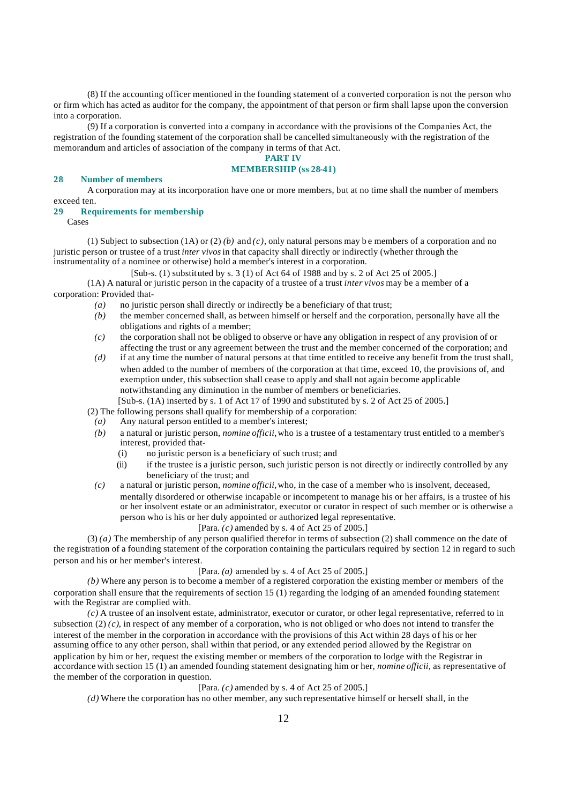(8) If the accounting officer mentioned in the founding statement of a converted corporation is not the person who or firm which has acted as auditor for the company, the appointment of that person or firm shall lapse upon the conversion into a corporation.

(9) If a corporation is converted into a company in accordance with the provisions of the Companies Act, the registration of the founding statement of the corporation shall be cancelled simultaneously with the registration of the memorandum and articles of association of the company in terms of that Act.

# **PART IV**

# **MEMBERSHIP (ss 28-41)**

#### **28 Number of members**

A corporation may at its incorporation have one or more members, but at no time shall the number of members exceed ten.

#### **29 Requirements for membership**

Cases

(1) Subject to subsection (1A) or (2) *(b)* and *(c)*, only natural persons may be members of a corporation and no juristic person or trustee of a trust *inter vivos* in that capacity shall directly or indirectly (whether through the instrumentality of a nominee or otherwise) hold a member's interest in a corporation.

[Sub-s. (1) substituted by s. 3 (1) of Act 64 of 1988 and by s. 2 of Act 25 of 2005.]

(1A) A natural or juristic person in the capacity of a trustee of a trust *inter vivos* may be a member of a corporation: Provided that-

- *(a)* no juristic person shall directly or indirectly be a beneficiary of that trust;
- *(b)* the member concerned shall, as between himself or herself and the corporation, personally have all the obligations and rights of a member;
- *(c)* the corporation shall not be obliged to observe or have any obligation in respect of any provision of or affecting the trust or any agreement between the trust and the member concerned of the corporation; and
- *(d)* if at any time the number of natural persons at that time entitled to receive any benefit from the trust shall, when added to the number of members of the corporation at that time, exceed 10, the provisions of, and exemption under, this subsection shall cease to apply and shall not again become applicable notwithstanding any diminution in the number of members or beneficiaries.

[Sub-s. (1A) inserted by s. 1 of Act 17 of 1990 and substituted by s. 2 of Act 25 of 2005.]

(2) The following persons shall qualify for membership of a corporation:

- *(a)* Any natural person entitled to a member's interest;
- *(b)* a natural or juristic person, *nomine officii,* who is a trustee of a testamentary trust entitled to a member's interest, provided that-
	- (i) no juristic person is a beneficiary of such trust; and
	- (ii) if the trustee is a juristic person, such juristic person is not directly or indirectly controlled by any beneficiary of the trust; and
- *(c)* a natural or juristic person, *nomine officii,* who, in the case of a member who is insolvent, deceased, mentally disordered or otherwise incapable or incompetent to manage his or her affairs, is a trustee of his or her insolvent estate or an administrator, executor or curator in respect of such member or is otherwise a person who is his or her duly appointed or authorized legal representative.

# [Para. *(c)* amended by s. 4 of Act 25 of 2005.]

(3) *(a)* The membership of any person qualified therefor in terms of subsection (2) shall commence on the date of the registration of a founding statement of the corporation containing the particulars required by section 12 in regard to such person and his or her member's interest.

# [Para. *(a)* amended by s. 4 of Act 25 of 2005.]

*(b)* Where any person is to become a member of a registered corporation the existing member or members of the corporation shall ensure that the requirements of section 15 (1) regarding the lodging of an amended founding statement with the Registrar are complied with.

*(c)* A trustee of an insolvent estate, administrator, executor or curator, or other legal representative, referred to in subsection  $(2)$   $(c)$ , in respect of any member of a corporation, who is not obliged or who does not intend to transfer the interest of the member in the corporation in accordance with the provisions of this Act within 28 days of his or her assuming office to any other person, shall within that period, or any extended period allowed by the Registrar on application by him or her, request the existing member or members of the corporation to lodge with the Registrar in accordance with section 15 (1) an amended founding statement designating him or her, *nomine officii,* as representative of the member of the corporation in question.

#### [Para. *(c)* amended by s. 4 of Act 25 of 2005.]

*(d)* Where the corporation has no other member, any such representative himself or herself shall, in the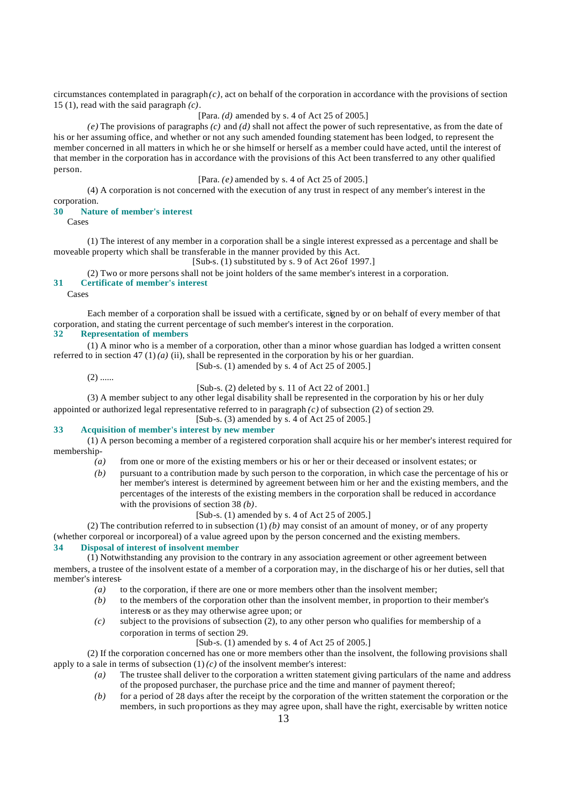circumstances contemplated in paragraph *(c)*, act on behalf of the corporation in accordance with the provisions of section 15 (1), read with the said paragraph *(c)*.

# [Para. *(d)* amended by s. 4 of Act 25 of 2005.]

*(e)* The provisions of paragraphs *(c)* and *(d)* shall not affect the power of such representative, as from the date of his or her assuming office, and whether or not any such amended founding statement has been lodged, to represent the member concerned in all matters in which he or she himself or herself as a member could have acted, until the interest of that member in the corporation has in accordance with the provisions of this Act been transferred to any other qualified person.

# [Para. *(e)* amended by s. 4 of Act 25 of 2005.]

(4) A corporation is not concerned with the execution of any trust in respect of any member's interest in the corporation.

#### **30 Nature of member's interest**

Cases

(1) The interest of any member in a corporation shall be a single interest expressed as a percentage and shall be moveable property which shall be transferable in the manner provided by this Act.

 $[Sub-s. (1)$  substituted by s. 9 of Act 26 of 1997.]

(2) Two or more persons shall not be joint holders of the same member's interest in a corporation.

# **31 Certificate of member's interest**

Cases

Each member of a corporation shall be issued with a certificate, signed by or on behalf of every member of that corporation, and stating the current percentage of such member's interest in the corporation.

# **32 Representation of members**

(1) A minor who is a member of a corporation, other than a minor whose guardian has lodged a written consent referred to in section 47 (1) *(a)* (ii), shall be represented in the corporation by his or her guardian. [Sub-s. (1) amended by s. 4 of Act 25 of 2005.]

 $(2)$  ......

[Sub-s. (2) deleted by s. 11 of Act 22 of 2001.]

(3) A member subject to any other legal disability shall be represented in the corporation by his or her duly appointed or authorized legal representative referred to in paragraph *(c)* of subsection (2) of section 29.

[Sub-s. (3) amended by s. 4 of Act 25 of 2005.]

# **33 Acquisition of member's interest by new member**

(1) A person becoming a member of a registered corporation shall acquire his or her member's interest required for membership-

- *(a)* from one or more of the existing members or his or her or their deceased or insolvent estates; or
- *(b)* pursuant to a contribution made by such person to the corporation, in which case the percentage of his or her member's interest is determined by agreement between him or her and the existing members, and the percentages of the interests of the existing members in the corporation shall be reduced in accordance with the provisions of section 38 *(b)*.

[Sub-s. (1) amended by s. 4 of Act 25 of 2005.]

(2) The contribution referred to in subsection (1) *(b)* may consist of an amount of money, or of any property

(whether corporeal or incorporeal) of a value agreed upon by the person concerned and the existing members.

# **34 Disposal of interest of insolvent member**

 $(1)$  Notwithstanding any provision to the contrary in any association agreement or other agreement between

members, a trustee of the insolvent estate of a member of a corporation may, in the discharge of his or her duties, sell that member's interest-

- *(a)* to the corporation, if there are one or more members other than the insolvent member;
- *(b)* to the members of the corporation other than the insolvent member, in proportion to their member's interests or as they may otherwise agree upon; or
- *(c)* subject to the provisions of subsection (2), to any other person who qualifies for membership of a corporation in terms of section 29.

# [Sub-s. (1) amended by s. 4 of Act 25 of 2005.]

(2) If the corporation concerned has one or more members other than the insolvent, the following provisions shall apply to a sale in terms of subsection  $(1)(c)$  of the insolvent member's interest:

- *(a)* The trustee shall deliver to the corporation a written statement giving particulars of the name and address of the proposed purchaser, the purchase price and the time and manner of payment thereof;
- *(b)* for a period of 28 days after the receipt by the corporation of the written statement the corporation or the members, in such proportions as they may agree upon, shall have the right, exercisable by written notice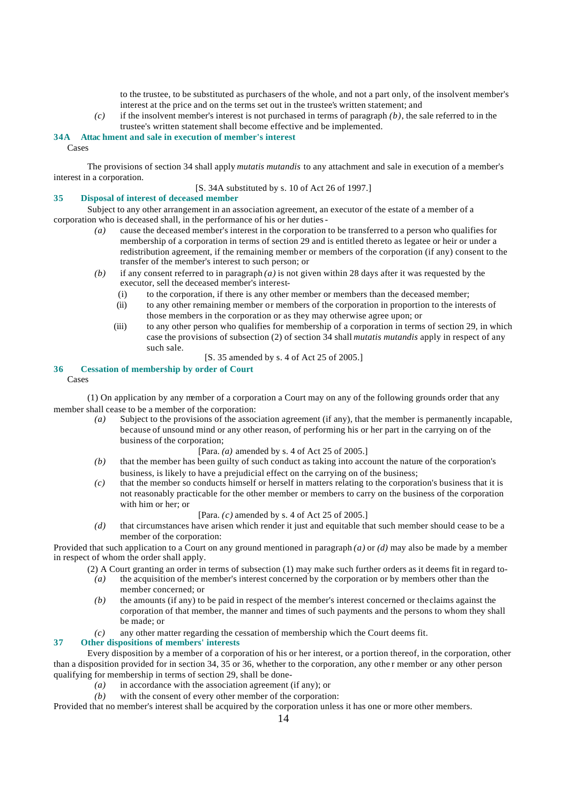to the trustee, to be substituted as purchasers of the whole, and not a part only, of the insolvent member's interest at the price and on the terms set out in the trustee's written statement; and

*(c)* if the insolvent member's interest is not purchased in terms of paragraph *(b)*, the sale referred to in the trustee's written statement shall become effective and be implemented.

# **34A Attac hment and sale in execution of member's interest**

Cases

The provisions of section 34 shall apply *mutatis mutandis* to any attachment and sale in execution of a member's interest in a corporation.

[S. 34A substituted by s. 10 of Act 26 of 1997.]

## **35 Disposal of interest of deceased member**

Subject to any other arrangement in an association agreement, an executor of the estate of a member of a corporation who is deceased shall, in the performance of his or her duties-

- *(a)* cause the deceased member's interest in the corporation to be transferred to a person who qualifies for membership of a corporation in terms of section 29 and is entitled thereto as legatee or heir or under a redistribution agreement, if the remaining member or members of the corporation (if any) consent to the transfer of the member's interest to such person; or
- *(b)* if any consent referred to in paragraph *(a)* is not given within 28 days after it was requested by the executor, sell the deceased member's interest-
	- (i) to the corporation, if there is any other member or members than the deceased member;
	- (ii) to any other remaining member or members of the corporation in proportion to the interests of those members in the corporation or as they may otherwise agree upon; or
	- (iii) to any other person who qualifies for membership of a corporation in terms of section 29, in which case the provisions of subsection (2) of section 34 shall *mutatis mutandis* apply in respect of any such sale.
		- [S. 35 amended by s. 4 of Act 25 of 2005.]

# **36 Cessation of membership by order of Court**

Cases

(1) On application by any member of a corporation a Court may on any of the following grounds order that any member shall cease to be a member of the corporation:

*(a)* Subject to the provisions of the association agreement (if any), that the member is permanently incapable, because of unsound mind or any other reason, of performing his or her part in the carrying on of the business of the corporation;

# [Para. *(a)* amended by s. 4 of Act 25 of 2005.]

- *(b)* that the member has been guilty of such conduct as taking into account the nature of the corporation's business, is likely to have a prejudicial effect on the carrying on of the business;
- *(c)* that the member so conducts himself or herself in matters relating to the corporation's business that it is not reasonably practicable for the other member or members to carry on the business of the corporation with him or her; or

## [Para. *(c)* amended by s. 4 of Act 25 of 2005.]

*(d)* that circumstances have arisen which render it just and equitable that such member should cease to be a member of the corporation:

Provided that such application to a Court on any ground mentioned in paragraph *(a)* or *(d)* may also be made by a member in respect of whom the order shall apply.

- (2) A Court granting an order in terms of subsection (1) may make such further orders as it deems fit in regard to-<br>
(a) the acquisition of the member's interest concerned by the corporation or by members other than the
- *(a)* the acquisition of the member's interest concerned by the corporation or by members other than the member concerned; or
- *(b)* the amounts (if any) to be paid in respect of the member's interest concerned or the claims against the corporation of that member, the manner and times of such payments and the persons to whom they shall be made; or
- *(c)* any other matter regarding the cessation of membership which the Court deems fit.

# **37 Other dispositions of members' interests**

Every disposition by a member of a corporation of his or her interest, or a portion thereof, in the corporation, other than a disposition provided for in section 34, 35 or 36, whether to the corporation, any othe r member or any other person qualifying for membership in terms of section 29, shall be done-

- *(a)* in accordance with the association agreement (if any); or
- *(b)* with the consent of every other member of the corporation:

Provided that no member's interest shall be acquired by the corporation unless it has one or more other members.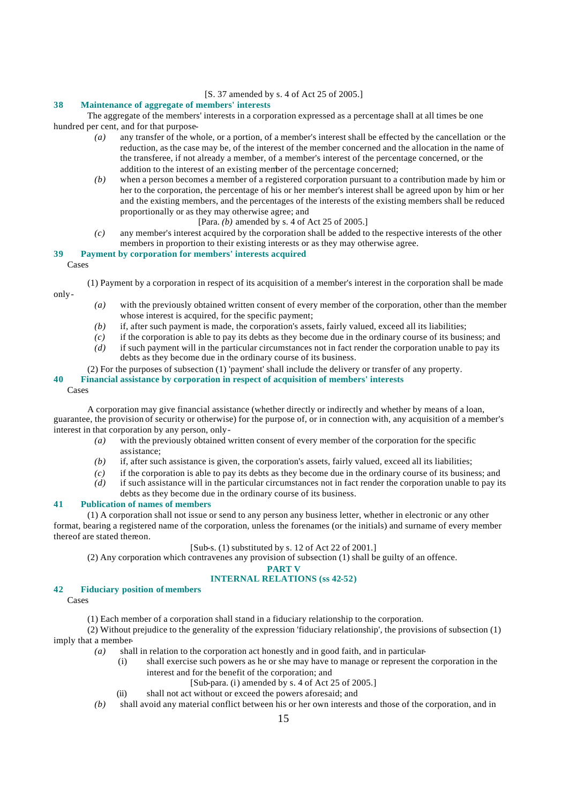[S. 37 amended by s. 4 of Act 25 of 2005.]

# **38 Maintenance of aggregate of members' interests**

The aggregate of the members' interests in a corporation expressed as a percentage shall at all times be one hundred per cent, and for that purpose-

- *(a)* any transfer of the whole, or a portion, of a member's interest shall be effected by the cancellation or the reduction, as the case may be, of the interest of the member concerned and the allocation in the name of the transferee, if not already a member, of a member's interest of the percentage concerned, or the addition to the interest of an existing member of the percentage concerned;
- *(b)* when a person becomes a member of a registered corporation pursuant to a contribution made by him or her to the corporation, the percentage of his or her member's interest shall be agreed upon by him or her and the existing members, and the percentages of the interests of the existing members shall be reduced proportionally or as they may otherwise agree; and
	- [Para. *(b)* amended by s. 4 of Act 25 of 2005.]
- *(c)* any member's interest acquired by the corporation shall be added to the respective interests of the other members in proportion to their existing interests or as they may otherwise agree.

# **39 Payment by corporation for members' interests acquired**

Cases

only-

(1) Payment by a corporation in respect of its acquisition of a member's interest in the corporation shall be made

- *(a)* with the previously obtained written consent of every member of the corporation, other than the member whose interest is acquired, for the specific payment;
- *(b)* if, after such payment is made, the corporation's assets, fairly valued, exceed all its liabilities;
- *(c)* if the corporation is able to pay its debts as they become due in the ordinary course of its business; and
- *(d)* if such payment will in the particular circumstances not in fact render the corporation unable to pay its debts as they become due in the ordinary course of its business.
- (2) For the purposes of subsection (1) 'payment' shall include the delivery or transfer of any property.

# **40 Financial assistance by corporation in respect of acquisition of members' interests**

#### Cases

A corporation may give financial assistance (whether directly or indirectly and whether by means of a loan, guarantee, the provision of security or otherwise) for the purpose of, or in connection with, any acquisition of a member's interest in that corporation by any person, only-

- *(a)* with the previously obtained written consent of every member of the corporation for the specific assistance;
- *(b)* if, after such assistance is given, the corporation's assets, fairly valued, exceed all its liabilities;
- *(c)* if the corporation is able to pay its debts as they become due in the ordinary course of its business; and
- *(d)* if such assistance will in the particular circumstances not in fact render the corporation unable to pay its debts as they become due in the ordinary course of its business.

## **41 Publication of names of members**

(1) A corporation shall not issue or send to any person any business letter, whether in electronic or any other format, bearing a registered name of the corporation, unless the forenames (or the initials) and surname of every member thereof are stated thereon.

# [Sub-s. (1) substituted by s. 12 of Act 22 of 2001.]

(2) Any corporation which contravenes any provision of subsection (1) shall be guilty of an offence.

# **PART V**

# **INTERNAL RELATIONS (ss 42-52)**

**42 Fiduciary position of members**

Cases

(1) Each member of a corporation shall stand in a fiduciary relationship to the corporation.

(2) Without prejudice to the generality of the expression 'fiduciary relationship', the provisions of subsection (1) imply that a member-

- *(a)* shall in relation to the corporation act honestly and in good faith, and in particular-
	- (i) shall exercise such powers as he or she may have to manage or represent the corporation in the interest and for the benefit of the corporation; and
		- [Sub-para. (i) amended by s. 4 of Act 25 of 2005.]
	- (ii) shall not act without or exceed the powers aforesaid; and
- *(b)* shall avoid any material conflict between his or her own interests and those of the corporation, and in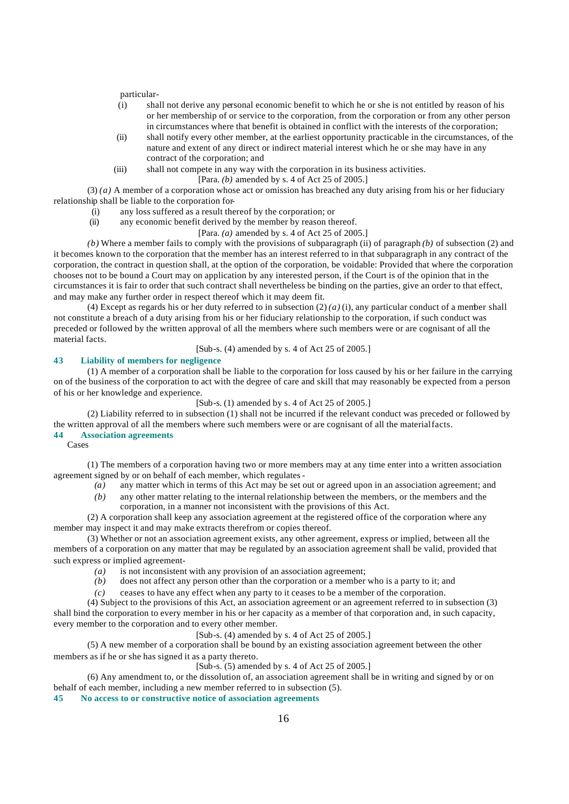particular-

- (i) shall not derive any personal economic benefit to which he or she is not entitled by reason of his or her membership of or service to the corporation, from the corporation or from any other person in circumstances where that benefit is obtained in conflict with the interests of the corporation;
- (ii) shall notify every other member, at the earliest opportunity practicable in the circumstances, of the nature and extent of any direct or indirect material interest which he or she may have in any contract of the corporation; and
- (iii) shall not compete in any way with the corporation in its business activities. [Para. *(b)* amended by s. 4 of Act 25 of 2005.]

(3) *(a)* A member of a corporation whose act or omission has breached any duty arising from his or her fiduciary relationship shall be liable to the corporation for-

- (i) any loss suffered as a result thereof by the corporation; or
- (ii) any economic benefit derived by the member by reason thereof.
	- [Para. *(a)* amended by s. 4 of Act 25 of 2005.]

*(b)* Where a member fails to comply with the provisions of subparagraph (ii) of paragraph *(b)* of subsection (2) and it becomes known to the corporation that the member has an interest referred to in that subparagraph in any contract of the corporation, the contract in question shall, at the option of the corporation, be voidable: Provided that where the corporation chooses not to be bound a Court may on application by any interested person, if the Court is of the opinion that in the circumstances it is fair to order that such contract shall nevertheless be binding on the parties, give an order to that effect, and may make any further order in respect thereof which it may deem fit.

(4) Except as regards his or her duty referred to in subsection  $(2)(a)(i)$ , any particular conduct of a member shall not constitute a breach of a duty arising from his or her fiduciary relationship to the corporation, if such conduct was preceded or followed by the written approval of all the members where such members were or are cognisant of all the material facts.

[Sub-s. (4) amended by s. 4 of Act 25 of 2005.]

# **43 Liability of members for negligence**

(1) A member of a corporation shall be liable to the corporation for loss caused by his or her failure in the carrying on of the business of the corporation to act with the degree of care and skill that may reasonably be expected from a person of his or her knowledge and experience.

[Sub-s. (1) amended by s. 4 of Act 25 of 2005.]

(2) Liability referred to in subsection (1) shall not be incurred if the relevant conduct was preceded or followed by the written approval of all the members where such members were or are cognisant of all the material facts. **44 Association agreements**

Cases

(1) The members of a corporation having two or more members may at any time enter into a written association agreement signed by or on behalf of each member, which regulates-

- *(a)* any matter which in terms of this Act may be set out or agreed upon in an association agreement; and
- *(b)* any other matter relating to the internal relationship between the members, or the members and the corporation, in a manner not inconsistent with the provisions of this Act.

(2) A corporation shall keep any association agreement at the registered office of the corporation where any member may inspect it and may make extracts therefrom or copies thereof.

(3) Whether or not an association agreement exists, any other agreement, express or implied, between all the members of a corporation on any matter that may be regulated by an association agreement shall be valid, provided that such express or implied agreement-

- *(a)* is not inconsistent with any provision of an association agreement;
- *(b)* does not affect any person other than the corporation or a member who is a party to it; and
- *(c)* ceases to have any effect when any party to it ceases to be a member of the corporation.

(4) Subject to the provisions of this Act, an association agreement or an agreement referred to in subsection (3) shall bind the corporation to every member in his or her capacity as a member of that corporation and, in such capacity, every member to the corporation and to every other member.

[Sub-s. (4) amended by s. 4 of Act 25 of 2005.]

(5) A new member of a corporation shall be bound by an existing association agreement between the other members as if he or she has signed it as a party thereto.

[Sub-s. (5) amended by s. 4 of Act 25 of 2005.]

(6) Any amendment to, or the dissolution of, an association agreement shall be in writing and signed by or on behalf of each member, including a new member referred to in subsection (5).

**45 No access to or constructive notice of association agreements**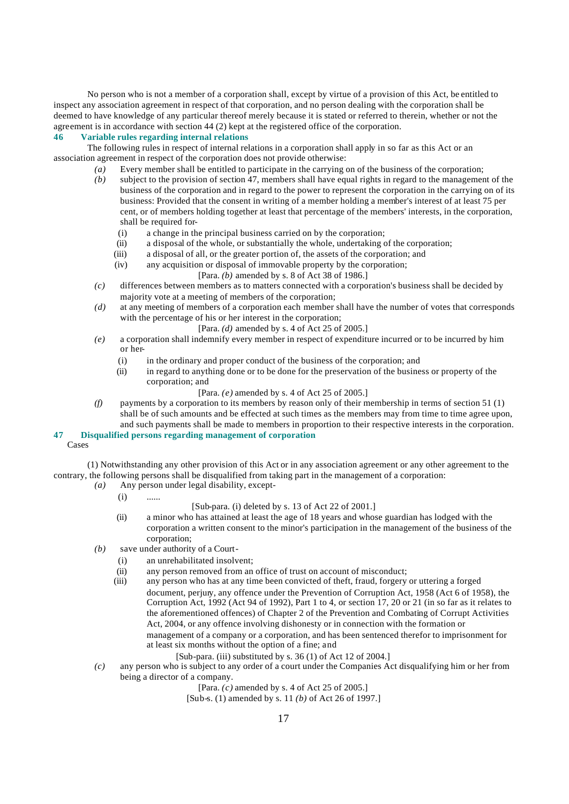No person who is not a member of a corporation shall, except by virtue of a provision of this Act, be entitled to inspect any association agreement in respect of that corporation, and no person dealing with the corporation shall be deemed to have knowledge of any particular thereof merely because it is stated or referred to therein, whether or not the agreement is in accordance with section 44 (2) kept at the registered office of the corporation.

# **46 Variable rules regarding internal relations**

The following rules in respect of internal relations in a corporation shall apply in so far as this Act or an association agreement in respect of the corporation does not provide otherwise:

- *(a)* Every member shall be entitled to participate in the carrying on of the business of the corporation;
- *(b)* subject to the provision of section 47, members shall have equal rights in regard to the management of the business of the corporation and in regard to the power to represent the corporation in the carrying on of its business: Provided that the consent in writing of a member holding a member's interest of at least 75 per cent, or of members holding together at least that percentage of the members' interests, in the corporation, shall be required for-
	- (i) a change in the principal business carried on by the corporation;
	- (ii) a disposal of the whole, or substantially the whole, undertaking of the corporation;
	- (iii) a disposal of all, or the greater portion of, the assets of the corporation; and
	- (iv) any acquisition or disposal of immovable property by the corporation;
		- [Para. *(b)* amended by s. 8 of Act 38 of 1986.]
- *(c)* differences between members as to matters connected with a corporation's business shall be decided by majority vote at a meeting of members of the corporation;
- *(d)* at any meeting of members of a corporation each member shall have the number of votes that corresponds with the percentage of his or her interest in the corporation;
	- [Para. *(d)* amended by s. 4 of Act 25 of 2005.]
- *(e)* a corporation shall indemnify every member in respect of expenditure incurred or to be incurred by him or her-
	- (i) in the ordinary and proper conduct of the business of the corporation; and
	- (ii) in regard to anything done or to be done for the preservation of the business or property of the corporation; and
		- [Para. *(e)* amended by s. 4 of Act 25 of 2005.]
- *(f)* payments by a corporation to its members by reason only of their membership in terms of section 51 (1) shall be of such amounts and be effected at such times as the members may from time to time agree upon, and such payments shall be made to members in proportion to their respective interests in the corporation.

#### **47 Disqualified persons regarding management of corporation** Cases

(1) Notwithstanding any other provision of this Act or in any association agreement or any other agreement to the contrary, the following persons shall be disqualified from taking part in the management of a corporation:

- *(a)* Any person under legal disability, except-
	- $(i)$  ......
- [Sub-para. (i) deleted by s. 13 of Act 22 of 2001.]
- (ii) a minor who has attained at least the age of 18 years and whose guardian has lodged with the corporation a written consent to the minor's participation in the management of the business of the corporation;
- *(b)* save under authority of a Court-
	- (i) an unrehabilitated insolvent;
	- (ii) any person removed from an office of trust on account of misconduct;
	- (iii) any person who has at any time been convicted of theft, fraud, forgery or uttering a forged document, perjury, any offence under the Prevention of Corruption Act, 1958 (Act 6 of 1958), the Corruption Act, 1992 (Act 94 of 1992), Part 1 to 4, or section 17, 20 or 21 (in so far as it relates to the aforementioned offences) of Chapter 2 of the Prevention and Combating of Corrupt Activities Act, 2004, or any offence involving dishonesty or in connection with the formation or management of a company or a corporation, and has been sentenced therefor to imprisonment for at least six months without the option of a fine; and
		- [Sub-para. (iii) substituted by s. 36 (1) of Act 12 of 2004.]
- *(c)* any person who is subject to any order of a court under the Companies Act disqualifying him or her from being a director of a company.

[Para. *(c)* amended by s. 4 of Act 25 of 2005.]

[Sub-s. (1) amended by s. 11 *(b)* of Act 26 of 1997.]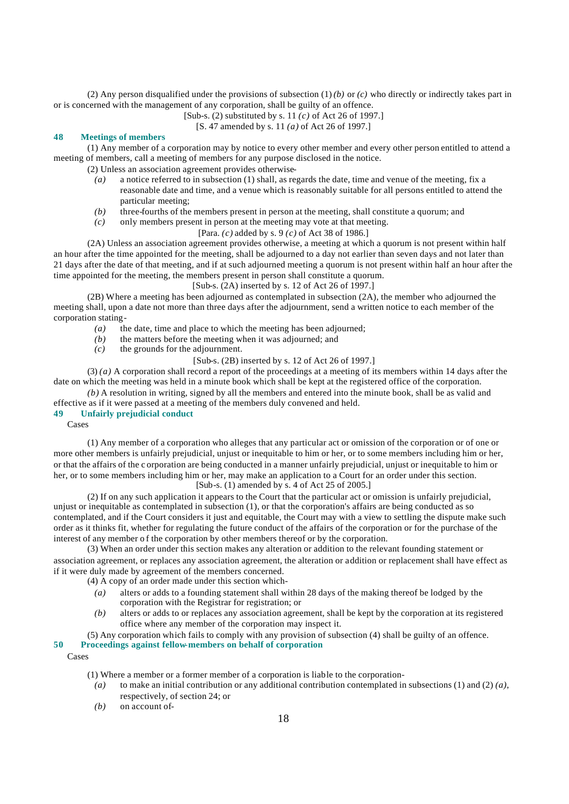(2) Any person disqualified under the provisions of subsection  $(1)(b)$  or  $(c)$  who directly or indirectly takes part in or is concerned with the management of any corporation, shall be guilty of an offence.

[Sub-s. (2) substituted by s. 11 *(c)* of Act 26 of 1997.]

[S. 47 amended by s. 11 *(a)* of Act 26 of 1997.]

# **48 Meetings of members**

(1) Any member of a corporation may by notice to every other member and every other person entitled to attend a meeting of members, call a meeting of members for any purpose disclosed in the notice.

(2) Unless an association agreement provides otherwise-

- *(a)* a notice referred to in subsection (1) shall, as regards the date, time and venue of the meeting, fix a reasonable date and time, and a venue which is reasonably suitable for all persons entitled to attend the particular meeting;
- *(b)* three-fourths of the members present in person at the meeting, shall constitute a quorum; and
- *(c)* only members present in person at the meeting may vote at that meeting.

## [Para. *(c)* added by s. 9 *(c)* of Act 38 of 1986.]

(2A) Unless an association agreement provides otherwise, a meeting at which a quorum is not present within half an hour after the time appointed for the meeting, shall be adjourned to a day not earlier than seven days and not later than 21 days after the date of that meeting, and if at such adjourned meeting a quorum is not present within half an hour after the time appointed for the meeting, the members present in person shall constitute a quorum.

# [Sub-s. (2A) inserted by s. 12 of Act 26 of 1997.]

(2B) Where a meeting has been adjourned as contemplated in subsection (2A), the member who adjourned the meeting shall, upon a date not more than three days after the adjournment, send a written notice to each member of the corporation stating-

- *(a)* the date, time and place to which the meeting has been adjourned;
- *(b)* the matters before the meeting when it was adjourned; and  $(c)$  the grounds for the adjournment.
	- the grounds for the adjournment.

# [Sub-s. (2B) inserted by s. 12 of Act 26 of 1997.]

(3) *(a)* A corporation shall record a report of the proceedings at a meeting of its members within 14 days after the date on which the meeting was held in a minute book which shall be kept at the registered office of the corporation.

*(b)* A resolution in writing, signed by all the members and entered into the minute book, shall be as valid and effective as if it were passed at a meeting of the members duly convened and held.

# **49 Unfairly prejudicial conduct**

Cases

(1) Any member of a corporation who alleges that any particular act or omission of the corporation or of one or more other members is unfairly prejudicial, unjust or inequitable to him or her, or to some members including him or her, or that the affairs of the c orporation are being conducted in a manner unfairly prejudicial, unjust or inequitable to him or her, or to some members including him or her, may make an application to a Court for an order under this section.

[Sub-s. (1) amended by s. 4 of Act 25 of 2005.]

(2) If on any such application it appears to the Court that the particular act or omission is unfairly prejudicial, unjust or inequitable as contemplated in subsection (1), or that the corporation's affairs are being conducted as so contemplated, and if the Court considers it just and equitable, the Court may with a view to settling the dispute make such order as it thinks fit, whether for regulating the future conduct of the affairs of the corporation or for the purchase of the interest of any member o f the corporation by other members thereof or by the corporation.

(3) When an order under this section makes any alteration or addition to the relevant founding statement or association agreement, or replaces any association agreement, the alteration or addition or replacement shall have effect as if it were duly made by agreement of the members concerned.

- (4) A copy of an order made under this section which-
	- *(a)* alters or adds to a founding statement shall within 28 days of the making thereof be lodged by the corporation with the Registrar for registration; or
	- *(b)* alters or adds to or replaces any association agreement, shall be kept by the corporation at its registered office where any member of the corporation may inspect it.

# (5) Any corporation which fails to comply with any provision of subsection (4) shall be guilty of an offence.

# **50 Proceedings against fellow-members on behalf of corporation**

Cases

- (1) Where a member or a former member of a corporation is liable to the corporation-
	- *(a)* to make an initial contribution or any additional contribution contemplated in subsections (1) and (2) *(a)*, respectively, of section 24; or
	- *(b)* on account of-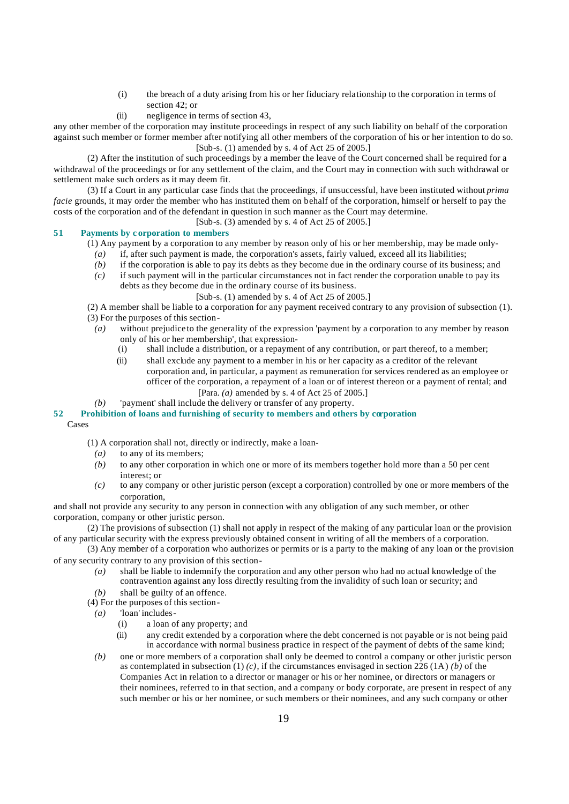- (i) the breach of a duty arising from his or her fiduciary relationship to the corporation in terms of section 42; or
- (ii) negligence in terms of section 43,

any other member of the corporation may institute proceedings in respect of any such liability on behalf of the corporation against such member or former member after notifying all other members of the corporation of his or her intention to do so. [Sub-s. (1) amended by s. 4 of Act 25 of 2005.]

(2) After the institution of such proceedings by a member the leave of the Court concerned shall be required for a withdrawal of the proceedings or for any settlement of the claim, and the Court may in connection with such withdrawal or settlement make such orders as it may deem fit.

(3) If a Court in any particular case finds that the proceedings, if unsuccessful, have been instituted without *prima facie* grounds, it may order the member who has instituted them on behalf of the corporation, himself or herself to pay the costs of the corporation and of the defendant in question in such manner as the Court may determine.

[Sub-s. (3) amended by s. 4 of Act 25 of 2005.]

# **51 Payments by c orporation to members**

- (1) Any payment by a corporation to any member by reason only of his or her membership, may be made only-
	- *(a)* if, after such payment is made, the corporation's assets, fairly valued, exceed all its liabilities;
	- *(b)* if the corporation is able to pay its debts as they become due in the ordinary course of its business; and
	- *(c)* if such payment will in the particular circumstances not in fact render the corporation unable to pay its debts as they become due in the ordinary course of its business.
		- [Sub-s. (1) amended by s. 4 of Act 25 of 2005.]
- (2) A member shall be liable to a corporation for any payment received contrary to any provision of subsection (1).
- (3) For the purposes of this section-
	- *(a)* without prejudice to the generality of the expression 'payment by a corporation to any member by reason only of his or her membership', that expression-
		- (i) shall include a distribution, or a repayment of any contribution, or part thereof, to a member;
		- (ii) shall exclude any payment to a member in his or her capacity as a creditor of the relevant corporation and, in particular, a payment as remuneration for services rendered as an employee or officer of the corporation, a repayment of a loan or of interest thereon or a payment of rental; and [Para. *(a)* amended by s. 4 of Act 25 of 2005.]
	- *(b)* 'payment' shall include the delivery or transfer of any property.

## **52 Prohibition of loans and furnishing of security to members and others by corporation**

## Cases

(1) A corporation shall not, directly or indirectly, make a loan-

- *(a)* to any of its members;
- *(b)* to any other corporation in which one or more of its members together hold more than a 50 per cent interest; or
- *(c)* to any company or other juristic person (except a corporation) controlled by one or more members of the corporation,

and shall not provide any security to any person in connection with any obligation of any such member, or other corporation, company or other juristic person.

(2) The provisions of subsection (1) shall not apply in respect of the making of any particular loan or the provision of any particular security with the express previously obtained consent in writing of all the members of a corporation.

(3) Any member of a corporation who authorizes or permits or is a party to the making of any loan or the provision of any security contrary to any provision of this section-

- *(a)* shall be liable to indemnify the corporation and any other person who had no actual knowledge of the contravention against any loss directly resulting from the invalidity of such loan or security; and
- *(b)* shall be guilty of an offence.
- (4) For the purposes of this section-
- *(a)* 'loan' includes-
	- (i) a loan of any property; and
	- (ii) any credit extended by a corporation where the debt concerned is not payable or is not being paid in accordance with normal business practice in respect of the payment of debts of the same kind;
- *(b)* one or more members of a corporation shall only be deemed to control a company or other juristic person as contemplated in subsection  $(1)$   $(c)$ , if the circumstances envisaged in section 226  $(1)$   $(b)$  of the Companies Act in relation to a director or manager or his or her nominee, or directors or managers or their nominees, referred to in that section, and a company or body corporate, are present in respect of any such member or his or her nominee, or such members or their nominees, and any such company or other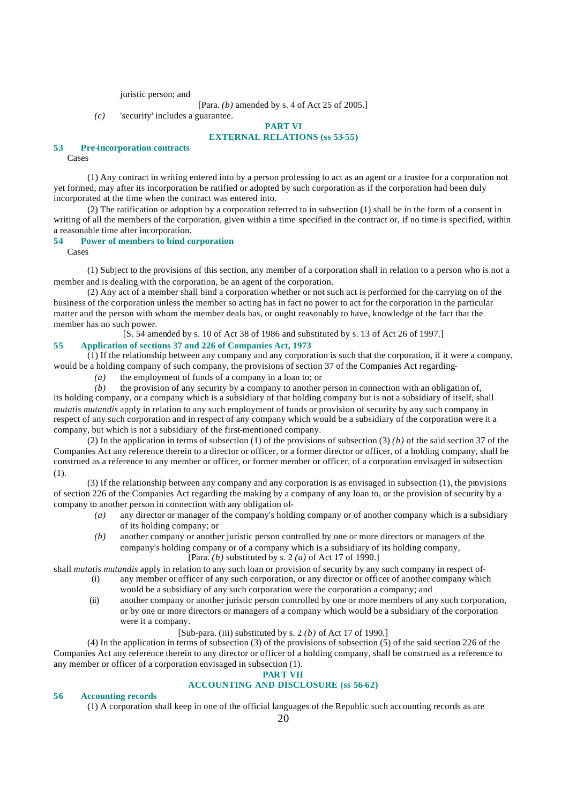juristic person; and

*(c)* 'security' includes a guarantee.

#### **PART VI EXTERNAL RELATIONS (ss 53-55)**

#### **53 Pre-incorporation contracts**

Cases

(1) Any contract in writing entered into by a person professing to act as an agent or a trustee for a corporation not yet formed, may after its incorporation be ratified or adopted by such corporation as if the corporation had been duly incorporated at the time when the contract was entered into.

(2) The ratification or adoption by a corporation referred to in subsection (1) shall be in the form of a consent in writing of all the members of the corporation, given within a time specified in the contract or, if no time is specified, within a reasonable time after incorporation.

#### **54 Power of members to bind corporation**

Cases

(1) Subject to the provisions of this section, any member of a corporation shall in relation to a person who is not a member and is dealing with the corporation, be an agent of the corporation.

(2) Any act of a member shall bind a corporation whether or not such act is performed for the carrying on of the business of the corporation unless the member so acting has in fact no power to act for the corporation in the particular matter and the person with whom the member deals has, or ought reasonably to have, knowledge of the fact that the member has no such power.

[S. 54 amended by s. 10 of Act 38 of 1986 and substituted by s. 13 of Act 26 of 1997.]

# **55 Application of sections 37 and 226 of Companies Act, 1973**

(1) If the relationship between any company and any corporation is such that the corporation, if it were a company, would be a holding company of such company, the provisions of section 37 of the Companies Act regarding-

*(a)* the employment of funds of a company in a loan to; or

*(b)* the provision of any security by a company to another person in connection with an obligation of, its holding company, or a company which is a subsidiary of that holding company but is not a subsidiary of itself, shall *mutatis mutandis* apply in relation to any such employment of funds or provision of security by any such company in respect of any such corporation and in respect of any company which would be a subsidiary of the corporation were it a company, but which is not a subsidiary of the first-mentioned company.

(2) In the application in terms of subsection (1) of the provisions of subsection (3) *(b)* of the said section 37 of the Companies Act any reference therein to a director or officer, or a former director or officer, of a holding company, shall be construed as a reference to any member or officer, or former member or officer, of a corporation envisaged in subsection (1).

(3) If the relationship between any company and any corporation is as envisaged in subsection (1), the provisions of section 226 of the Companies Act regarding the making by a company of any loan to, or the provision of security by a company to another person in connection with any obligation of-

- *(a)* any director or manager of the company's holding company or of another company which is a subsidiary of its holding company; or
- *(b)* another company or another juristic person controlled by one or more directors or managers of the company's holding company or of a company which is a subsidiary of its holding company, [Para. *(b)* substituted by s. 2 *(a)* of Act 17 of 1990.]

shall *mutatis mutandis* apply in relation to any such loan or provision of security by any such company in respect of-

- (i) any member or officer of any such corporation, or any director or officer of another company which would be a subsidiary of any such corporation were the corporation a company; and
- (ii) another company or another juristic person controlled by one or more members of any such corporation, or by one or more directors or managers of a company which would be a subsidiary of the corporation were it a company.

# [Sub-para. (iii) substituted by s. 2 *(b)* of Act 17 of 1990.]

(4) In the application in terms of subsection (3) of the provisions of subsection (5) of the said section 226 of the Companies Act any reference therein to any director or officer of a holding company, shall be construed as a reference to any member or officer of a corporation envisaged in subsection (1).

#### **PART VII**

# **ACCOUNTING AND DISCLOSURE (ss 56-62)**

## **56 Accounting records**

(1) A corporation shall keep in one of the official languages of the Republic such accounting records as are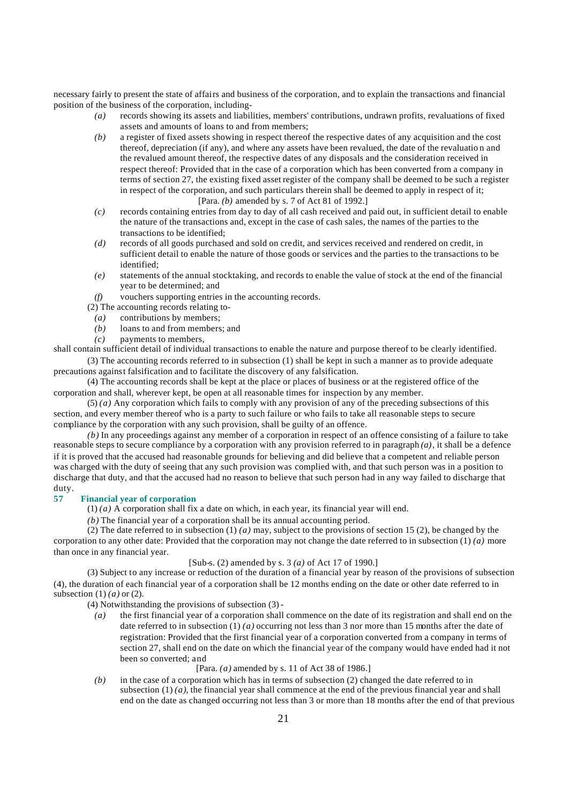necessary fairly to present the state of affairs and business of the corporation, and to explain the transactions and financial position of the business of the corporation, including-

- *(a)* records showing its assets and liabilities, members' contributions, undrawn profits, revaluations of fixed assets and amounts of loans to and from members;
- *(b)* a register of fixed assets showing in respect thereof the respective dates of any acquisition and the cost thereof, depreciation (if any), and where any assets have been revalued, the date of the revaluatio n and the revalued amount thereof, the respective dates of any disposals and the consideration received in respect thereof: Provided that in the case of a corporation which has been converted from a company in terms of section 27, the existing fixed asset register of the company shall be deemed to be such a register in respect of the corporation, and such particulars therein shall be deemed to apply in respect of it; [Para. *(b)* amended by s. 7 of Act 81 of 1992.]
- *(c)* records containing entries from day to day of all cash received and paid out, in sufficient detail to enable the nature of the transactions and, except in the case of cash sales, the names of the parties to the transactions to be identified;
- *(d)* records of all goods purchased and sold on credit, and services received and rendered on credit, in sufficient detail to enable the nature of those goods or services and the parties to the transactions to be identified;
- *(e)* statements of the annual stocktaking, and records to enable the value of stock at the end of the financial year to be determined; and
- *(f)* vouchers supporting entries in the accounting records.
- (2) The accounting records relating to-
	- *(a)* contributions by members;
	- *(b)* loans to and from members; and
	- *(c)* payments to members,

shall contain sufficient detail of individual transactions to enable the nature and purpose thereof to be clearly identified. (3) The accounting records referred to in subsection (1) shall be kept in such a manner as to provide adequate

precautions against falsification and to facilitate the discovery of any falsification.

(4) The accounting records shall be kept at the place or places of business or at the registered office of the corporation and shall, wherever kept, be open at all reasonable times for inspection by any member.

(5) *(a)* Any corporation which fails to comply with any provision of any of the preceding subsections of this section, and every member thereof who is a party to such failure or who fails to take all reasonable steps to secure compliance by the corporation with any such provision, shall be guilty of an offence.

*(b)* In any proceedings against any member of a corporation in respect of an offence consisting of a failure to take reasonable steps to secure compliance by a corporation with any provision referred to in paragraph *(a)*, it shall be a defence if it is proved that the accused had reasonable grounds for believing and did believe that a competent and reliable person was charged with the duty of seeing that any such provision was complied with, and that such person was in a position to discharge that duty, and that the accused had no reason to believe that such person had in any way failed to discharge that duty.

## **57 Financial year of corporation**

 $(1)$   $(a)$  A corporation shall fix a date on which, in each year, its financial year will end.

*(b)* The financial year of a corporation shall be its annual accounting period.

(2) The date referred to in subsection (1) *(a)* may, subject to the provisions of section 15 (2), be changed by the corporation to any other date: Provided that the corporation may not change the date referred to in subsection (1) *(a)* more than once in any financial year.

# [Sub-s. (2) amended by s. 3 *(a)* of Act 17 of 1990.]

(3) Subject to any increase or reduction of the duration of a financial year by reason of the provisions of subsection (4), the duration of each financial year of a corporation shall be 12 months ending on the date or other date referred to in subsection (1) *(a)* or (2).

(4) Notwithstanding the provisions of subsection (3) -

*(a)* the first financial year of a corporation shall commence on the date of its registration and shall end on the date referred to in subsection (1) *(a)* occurring not less than 3 nor more than 15 months after the date of registration: Provided that the first financial year of a corporation converted from a company in terms of section 27, shall end on the date on which the financial year of the company would have ended had it not been so converted; and

## [Para. *(a)* amended by s. 11 of Act 38 of 1986.]

*(b)* in the case of a corporation which has in terms of subsection (2) changed the date referred to in subsection  $(1)(a)$ , the financial year shall commence at the end of the previous financial year and shall end on the date as changed occurring not less than 3 or more than 18 months after the end of that previous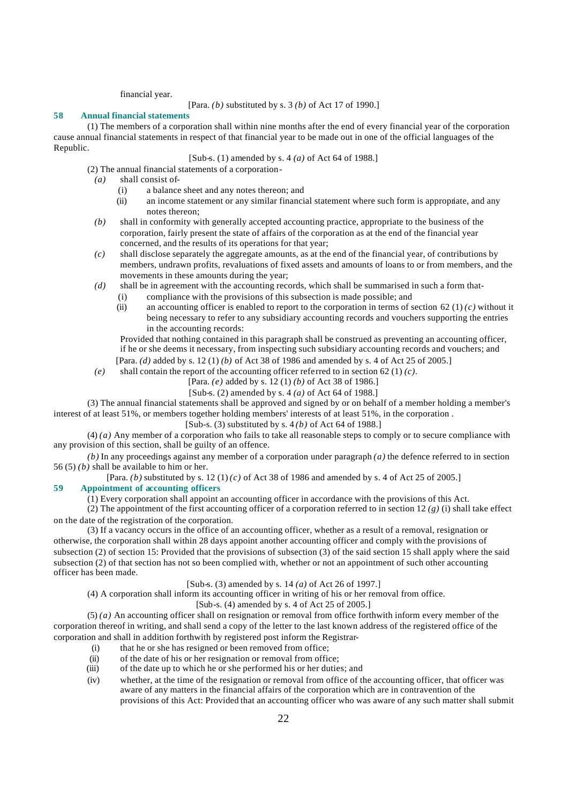financial year.

[Para. *(b)* substituted by s. 3 *(b)* of Act 17 of 1990.]

## **58 Annual financial statements**

(1) The members of a corporation shall within nine months after the end of every financial year of the corporation cause annual financial statements in respect of that financial year to be made out in one of the official languages of the Republic.

## [Sub-s. (1) amended by s. 4 *(a)* of Act 64 of 1988.]

(2) The annual financial statements of a corporation-

- *(a)* shall consist of-
	- (i) a balance sheet and any notes thereon; and
	- (ii) an income statement or any similar financial statement where such form is appropriate, and any notes thereon;
- *(b)* shall in conformity with generally accepted accounting practice, appropriate to the business of the corporation, fairly present the state of affairs of the corporation as at the end of the financial year concerned, and the results of its operations for that year;
- *(c)* shall disclose separately the aggregate amounts, as at the end of the financial year, of contributions by members, undrawn profits, revaluations of fixed assets and amounts of loans to or from members, and the movements in these amounts during the year;
- *(d)* shall be in agreement with the accounting records, which shall be summarised in such a form that-
	- (i) compliance with the provisions of this subsection is made possible; and
	- (ii) an accounting officer is enabled to report to the corporation in terms of section 62 (1)  $(c)$  without it being necessary to refer to any subsidiary accounting records and vouchers supporting the entries in the accounting records:

Provided that nothing contained in this paragraph shall be construed as preventing an accounting officer, if he or she deems it necessary, from inspecting such subsidiary accounting records and vouchers; and [Para. *(d)* added by s. 12 (1) *(b)* of Act 38 of 1986 and amended by s. 4 of Act 25 of 2005.]

- *(e)* shall contain the report of the accounting officer referred to in section 62 (1) *(c)*.
	- [Para. *(e)* added by s. 12 (1) *(b)* of Act 38 of 1986.]

[Sub-s. (2) amended by s. 4 *(a)* of Act 64 of 1988.]

(3) The annual financial statements shall be approved and signed by or on behalf of a member holding a member's interest of at least 51%, or members together holding members' interests of at least 51%, in the corporation .

[Sub-s. (3) substituted by s. 4 *(b)* of Act 64 of 1988.]

(4) *(a)* Any member of a corporation who fails to take all reasonable steps to comply or to secure compliance with any provision of this section, shall be guilty of an offence.

 $(b)$  In any proceedings against any member of a corporation under paragraph  $(a)$  the defence referred to in section 56 (5) *(b)* shall be available to him or her.

[Para. *(b)* substituted by s. 12 (1) *(c)* of Act 38 of 1986 and amended by s. 4 of Act 25 of 2005.]

# **59 Appointment of accounting officers**

(1) Every corporation shall appoint an accounting officer in accordance with the provisions of this Act.

(2) The appointment of the first accounting officer of a corporation referred to in section 12 *(g)* (i) shall take effect on the date of the registration of the corporation.

(3) If a vacancy occurs in the office of an accounting officer, whether as a result of a removal, resignation or otherwise, the corporation shall within 28 days appoint another accounting officer and comply with the provisions of subsection (2) of section 15: Provided that the provisions of subsection (3) of the said section 15 shall apply where the said subsection (2) of that section has not so been complied with, whether or not an appointment of such other accounting officer has been made.

# [Sub-s. (3) amended by s. 14 *(a)* of Act 26 of 1997.]

(4) A corporation shall inform its accounting officer in writing of his or her removal from office.

## [Sub-s. (4) amended by s. 4 of Act 25 of 2005.]

(5) *(a)* An accounting officer shall on resignation or removal from office forthwith inform every member of the corporation thereof in writing, and shall send a copy of the letter to the last known address of the registered office of the corporation and shall in addition forthwith by registered post inform the Registrar-

- (i) that he or she has resigned or been removed from office;
- (ii) of the date of his or her resignation or removal from office;<br>(iii) of the date up to which he or she performed his or her dutie
- of the date up to which he or she performed his or her duties; and
- (iv) whether, at the time of the resignation or removal from office of the accounting officer, that officer was aware of any matters in the financial affairs of the corporation which are in contravention of the provisions of this Act: Provided that an accounting officer who was aware of any such matter shall submit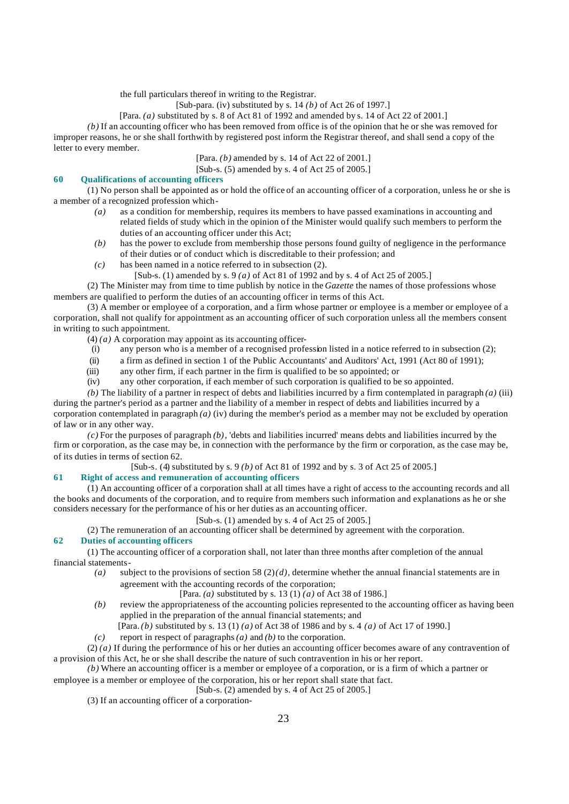the full particulars thereof in writing to the Registrar.

[Sub-para. (iv) substituted by s. 14 *(b)* of Act 26 of 1997.]

[Para. *(a)* substituted by s. 8 of Act 81 of 1992 and amended by s. 14 of Act 22 of 2001.]

*(b)* If an accounting officer who has been removed from office is of the opinion that he or she was removed for improper reasons, he or she shall forthwith by registered post inform the Registrar thereof, and shall send a copy of the letter to every member.

[Para. *(b)* amended by s. 14 of Act 22 of 2001.]

[Sub-s. (5) amended by s. 4 of Act 25 of 2005.]

## **60 Qualifications of accounting officers**

(1) No person shall be appointed as or hold the office of an accounting officer of a corporation, unless he or she is a member of a recognized profession which-

- *(a)* as a condition for membership, requires its members to have passed examinations in accounting and related fields of study which in the opinion of the Minister would qualify such members to perform the duties of an accounting officer under this Act;
- *(b)* has the power to exclude from membership those persons found guilty of negligence in the performance of their duties or of conduct which is discreditable to their profession; and
- *(c)* has been named in a notice referred to in subsection (2).
	- [Sub-s. (1) amended by s. 9 *(a)* of Act 81 of 1992 and by s. 4 of Act 25 of 2005.]

(2) The Minister may from time to time publish by notice in the *Gazette* the names of those professions whose members are qualified to perform the duties of an accounting officer in terms of this Act.

(3) A member or employee of a corporation, and a firm whose partner or employee is a member or employee of a corporation, shall not qualify for appointment as an accounting officer of such corporation unless all the members consent in writing to such appointment.

 $(4)$  *(a)* A corporation may appoint as its accounting officer-

- (i) any person who is a member of a recognised profession listed in a notice referred to in subsection (2);
- (ii) a firm as defined in section 1 of the Public Accountants' and Auditors' Act, 1991 (Act 80 of 1991);
- (iii) any other firm, if each partner in the firm is qualified to be so appointed; or
- (iv) any other corporation, if each member of such corporation is qualified to be so appointed.

*(b)* The liability of a partner in respect of debts and liabilities incurred by a firm contemplated in paragraph *(a)* (iii) during the partner's period as a partner and the liability of a member in respect of debts and liabilities incurred by a corporation contemplated in paragraph *(a)* (iv) during the member's period as a member may not be excluded by operation of law or in any other way.

*(c)* For the purposes of paragraph *(b)*, 'debts and liabilities incurred' means debts and liabilities incurred by the firm or corporation, as the case may be, in connection with the performance by the firm or corporation, as the case may be, of its duties in terms of section 62.

[Sub-s. (4) substituted by s. 9 *(b)* of Act 81 of 1992 and by s. 3 of Act 25 of 2005.]

# **61 Right of access and remuneration of accounting officers**

(1) An accounting officer of a corporation shall at all times have a right of access to the accounting records and all the books and documents of the corporation, and to require from members such information and explanations as he or she considers necessary for the performance of his or her duties as an accounting officer.

[Sub-s. (1) amended by s. 4 of Act 25 of 2005.]

(2) The remuneration of an accounting officer shall be determined by agreement with the corporation.

# **62 Duties of accounting officers**

(1) The accounting officer of a corporation shall, not later than three months after completion of the annual financial statements-

*(a)* subject to the provisions of section 58 (2) *(d)*, determine whether the annual financial statements are in agreement with the accounting records of the corporation;

[Para. *(a)* substituted by s. 13 (1) *(a)* of Act 38 of 1986.]

*(b)* review the appropriateness of the accounting policies represented to the accounting officer as having been applied in the preparation of the annual financial statements; and

[Para. *(b)* substituted by s. 13 (1) *(a)* of Act 38 of 1986 and by s. 4 *(a)* of Act 17 of 1990.]

*(c)* report in respect of paragraphs *(a)* and *(b)* to the corporation.

(2) *(a)* If during the performance of his or her duties an accounting officer becomes aware of any contravention of a provision of this Act, he or she shall describe the nature of such contravention in his or her report.

*(b)* Where an accounting officer is a member or employee of a corporation, or is a firm of which a partner or

employee is a member or employee of the corporation, his or her report shall state that fact.  $[Sub-s. (2)$  amended by s. 4 of Act 25 of 2005.]

(3) If an accounting officer of a corporation-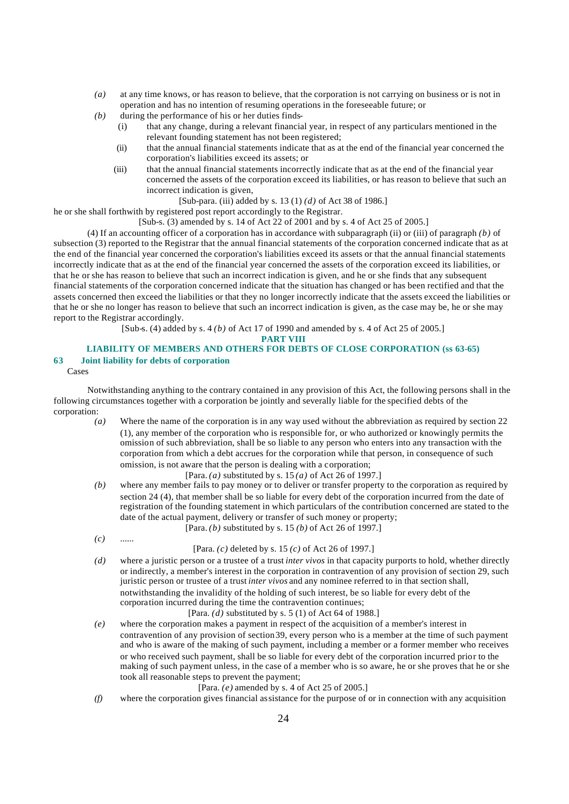- *(a)* at any time knows, or has reason to believe, that the corporation is not carrying on business or is not in operation and has no intention of resuming operations in the foreseeable future; or
- *(b)* during the performance of his or her duties finds-
	- (i) that any change, during a relevant financial year, in respect of any particulars mentioned in the relevant founding statement has not been registered;
	- (ii) that the annual financial statements indicate that as at the end of the financial year concerned the corporation's liabilities exceed its assets; or
	- (iii) that the annual financial statements incorrectly indicate that as at the end of the financial year concerned the assets of the corporation exceed its liabilities, or has reason to believe that such an incorrect indication is given,

[Sub-para. (iii) added by s. 13 (1) *(d)* of Act 38 of 1986.]

he or she shall forthwith by registered post report accordingly to the Registrar.

[Sub-s. (3) amended by s. 14 of Act 22 of 2001 and by s. 4 of Act 25 of 2005.]

(4) If an accounting officer of a corporation has in accordance with subparagraph (ii) or (iii) of paragraph *(b)* of subsection (3) reported to the Registrar that the annual financial statements of the corporation concerned indicate that as at the end of the financial year concerned the corporation's liabilities exceed its assets or that the annual financial statements incorrectly indicate that as at the end of the financial year concerned the assets of the corporation exceed its liabilities, or that he or she has reason to believe that such an incorrect indication is given, and he or she finds that any subsequent financial statements of the corporation concerned indicate that the situation has changed or has been rectified and that the assets concerned then exceed the liabilities or that they no longer incorrectly indicate that the assets exceed the liabilities or that he or she no longer has reason to believe that such an incorrect indication is given, as the case may be, he or she may report to the Registrar accordingly.

[Sub-s. (4) added by s. 4 *(b)* of Act 17 of 1990 and amended by s. 4 of Act 25 of 2005.]

## **PART VIII**

# **LIABILITY OF MEMBERS AND OTHERS FOR DEBTS OF CLOSE CORPORATION (ss 63-65) 63 Joint liability for debts of corporation**

Cases

Notwithstanding anything to the contrary contained in any provision of this Act, the following persons shall in the following circumstances together with a corporation be jointly and severally liable for the specified debts of the corporation:

*(a)* Where the name of the corporation is in any way used without the abbreviation as required by section 22 (1), any member of the corporation who is responsible for, or who authorized or knowingly permits the omission of such abbreviation, shall be so liable to any person who enters into any transaction with the corporation from which a debt accrues for the corporation while that person, in consequence of such omission, is not aware that the person is dealing with a corporation;

[Para. *(a)* substituted by s. 15 *(a)* of Act 26 of 1997.]

- *(b)* where any member fails to pay money or to deliver or transfer property to the corporation as required by section 24 (4), that member shall be so liable for every debt of the corporation incurred from the date of registration of the founding statement in which particulars of the contribution concerned are stated to the date of the actual payment, delivery or transfer of such money or property;
	- [Para. *(b)* substituted by s. 15 *(b)* of Act 26 of 1997.]
- *(c)* ...... [Para. *(c)* deleted by s. 15 *(c)* of Act 26 of 1997.]
- *(d)* where a juristic person or a trustee of a trust *inter vivos* in that capacity purports to hold, whether directly or indirectly, a member's interest in the corporation in contravention of any provision of section 29, such juristic person or trustee of a trust *inter vivos* and any nominee referred to in that section shall, notwithstanding the invalidity of the holding of such interest, be so liable for every debt of the corporation incurred during the time the contravention continues;

[Para. *(d)* substituted by s. 5 (1) of Act 64 of 1988.]

*(e)* where the corporation makes a payment in respect of the acquisition of a member's interest in contravention of any provision of section 39, every person who is a member at the time of such payment and who is aware of the making of such payment, including a member or a former member who receives or who received such payment, shall be so liable for every debt of the corporation incurred prior to the making of such payment unless, in the case of a member who is so aware, he or she proves that he or she took all reasonable steps to prevent the payment;

# [Para. *(e)* amended by s. 4 of Act 25 of 2005.]

*(f)* where the corporation gives financial assistance for the purpose of or in connection with any acquisition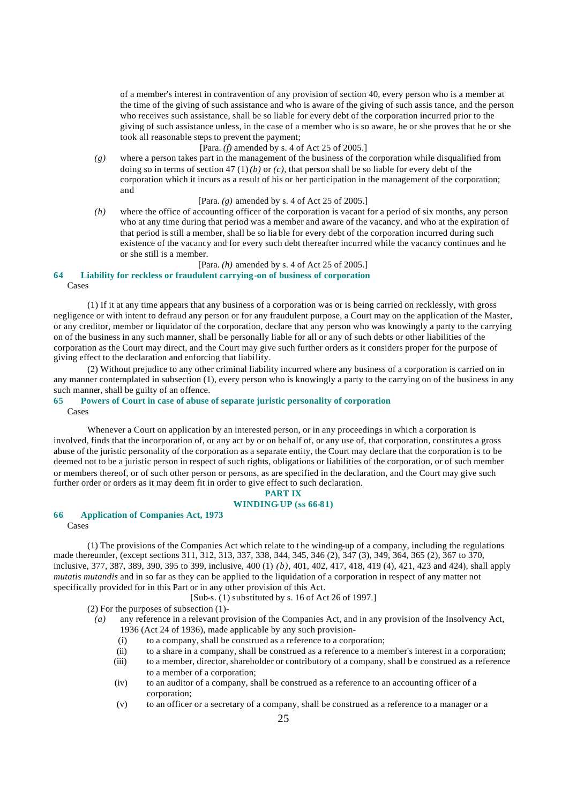of a member's interest in contravention of any provision of section 40, every person who is a member at the time of the giving of such assistance and who is aware of the giving of such assis tance, and the person who receives such assistance, shall be so liable for every debt of the corporation incurred prior to the giving of such assistance unless, in the case of a member who is so aware, he or she proves that he or she took all reasonable steps to prevent the payment;

# [Para. *(f)* amended by s. 4 of Act 25 of 2005.]

*(g)* where a person takes part in the management of the business of the corporation while disqualified from doing so in terms of section 47 (1) *(b)* or *(c)*, that person shall be so liable for every debt of the corporation which it incurs as a result of his or her participation in the management of the corporation; and

[Para. *(g)* amended by s. 4 of Act 25 of 2005.]

*(h)* where the office of accounting officer of the corporation is vacant for a period of six months, any person who at any time during that period was a member and aware of the vacancy, and who at the expiration of that period is still a member, shall be so lia ble for every debt of the corporation incurred during such existence of the vacancy and for every such debt thereafter incurred while the vacancy continues and he or she still is a member.

# [Para. *(h)* amended by s. 4 of Act 25 of 2005.]

# **64 Liability for reckless or fraudulent carrying-on of business of corporation**

Cases

(1) If it at any time appears that any business of a corporation was or is being carried on recklessly, with gross negligence or with intent to defraud any person or for any fraudulent purpose, a Court may on the application of the Master, or any creditor, member or liquidator of the corporation, declare that any person who was knowingly a party to the carrying on of the business in any such manner, shall be personally liable for all or any of such debts or other liabilities of the corporation as the Court may direct, and the Court may give such further orders as it considers proper for the purpose of giving effect to the declaration and enforcing that liability.

(2) Without prejudice to any other criminal liability incurred where any business of a corporation is carried on in any manner contemplated in subsection (1), every person who is knowingly a party to the carrying on of the business in any such manner, shall be guilty of an offence.

# **65 Powers of Court in case of abuse of separate juristic personality of corporation**

Cases

Whenever a Court on application by an interested person, or in any proceedings in which a corporation is involved, finds that the incorporation of, or any act by or on behalf of, or any use of, that corporation, constitutes a gross abuse of the juristic personality of the corporation as a separate entity, the Court may declare that the corporation is to be deemed not to be a juristic person in respect of such rights, obligations or liabilities of the corporation, or of such member or members thereof, or of such other person or persons, as are specified in the declaration, and the Court may give such further order or orders as it may deem fit in order to give effect to such declaration.

# **PART IX**

## **WINDING-UP (ss 66-81)**

## **66 Application of Companies Act, 1973**

Cases

(1) The provisions of the Companies Act which relate to t he winding-up of a company, including the regulations made thereunder, (except sections 311, 312, 313, 337, 338, 344, 345, 346 (2), 347 (3), 349, 364, 365 (2), 367 to 370, inclusive, 377, 387, 389, 390, 395 to 399, inclusive, 400 (1) *(b)*, 401, 402, 417, 418, 419 (4), 421, 423 and 424), shall apply *mutatis mutandis* and in so far as they can be applied to the liquidation of a corporation in respect of any matter not specifically provided for in this Part or in any other provision of this Act.

[Sub-s. (1) substituted by s. 16 of Act 26 of 1997.]

(2) For the purposes of subsection (1)-

- *(a)* any reference in a relevant provision of the Companies Act, and in any provision of the Insolvency Act, 1936 (Act 24 of 1936), made applicable by any such provision-
	- (i) to a company, shall be construed as a reference to a corporation;
	- (ii) to a share in a company, shall be construed as a reference to a member's interest in a corporation;
	- (iii) to a member, director, shareholder or contributory of a company, shall b e construed as a reference to a member of a corporation;
	- (iv) to an auditor of a company, shall be construed as a reference to an accounting officer of a corporation;
	- (v) to an officer or a secretary of a company, shall be construed as a reference to a manager or a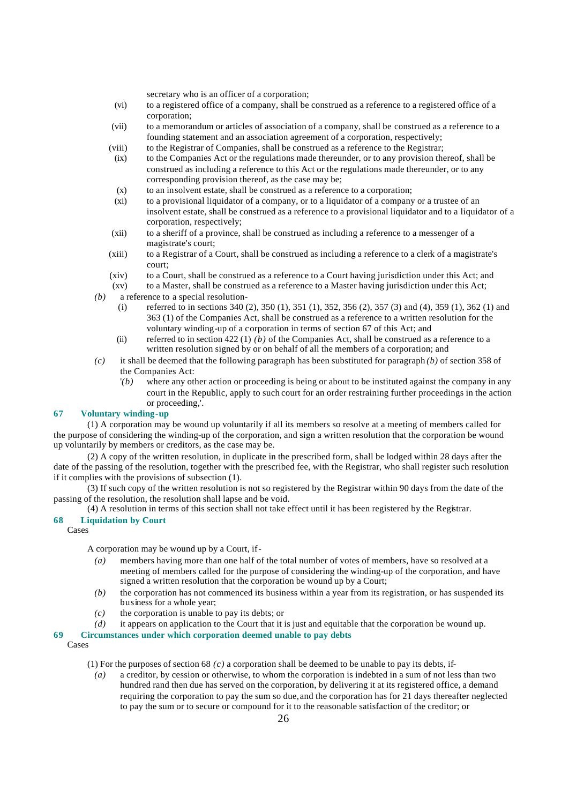secretary who is an officer of a corporation;

- (vi) to a registered office of a company, shall be construed as a reference to a registered office of a corporation;
- (vii) to a memorandum or articles of association of a company, shall be construed as a reference to a founding statement and an association agreement of a corporation, respectively;
- (viii) to the Registrar of Companies, shall be construed as a reference to the Registrar;
- (ix) to the Companies Act or the regulations made thereunder, or to any provision thereof, shall be construed as including a reference to this Act or the regulations made thereunder, or to any corresponding provision thereof, as the case may be;
- (x) to an insolvent estate, shall be construed as a reference to a corporation;
- (xi) to a provisional liquidator of a company, or to a liquidator of a company or a trustee of an insolvent estate, shall be construed as a reference to a provisional liquidator and to a liquidator of a corporation, respectively;
- (xii) to a sheriff of a province, shall be construed as including a reference to a messenger of a magistrate's court;
- (xiii) to a Registrar of a Court, shall be construed as including a reference to a clerk of a magistrate's court;
- (xiv) to a Court, shall be construed as a reference to a Court having jurisdiction under this Act; and
- (xv) to a Master, shall be construed as a reference to a Master having jurisdiction under this Act;
- *(b)* a reference to a special resolution-
	- (i) referred to in sections 340 (2), 350 (1), 351 (1), 352, 356 (2), 357 (3) and (4), 359 (1), 362 (1) and 363 (1) of the Companies Act, shall be construed as a reference to a written resolution for the voluntary winding-up of a corporation in terms of section 67 of this Act; and
	- (ii) referred to in section 422 (1)  $(b)$  of the Companies Act, shall be construed as a reference to a written resolution signed by or on behalf of all the members of a corporation; and
- *(c)* it shall be deemed that the following paragraph has been substituted for paragraph *(b)* of section 358 of the Companies Act:
	- *'(b)* where any other action or proceeding is being or about to be instituted against the company in any court in the Republic, apply to such court for an order restraining further proceedings in the action or proceeding,'.

# **67 Voluntary winding-up**

(1) A corporation may be wound up voluntarily if all its members so resolve at a meeting of members called for the purpose of considering the winding-up of the corporation, and sign a written resolution that the corporation be wound up voluntarily by members or creditors, as the case may be.

(2) A copy of the written resolution, in duplicate in the prescribed form, shall be lodged within 28 days after the date of the passing of the resolution, together with the prescribed fee, with the Registrar, who shall register such resolution if it complies with the provisions of subsection (1).

(3) If such copy of the written resolution is not so registered by the Registrar within 90 days from the date of the passing of the resolution, the resolution shall lapse and be void.

(4) A resolution in terms of this section shall not take effect until it has been registered by the Registrar.

# **68 Liquidation by Court**

Cases

A corporation may be wound up by a Court, if-

- *(a)* members having more than one half of the total number of votes of members, have so resolved at a meeting of members called for the purpose of considering the winding-up of the corporation, and have signed a written resolution that the corporation be wound up by a Court;
- *(b)* the corporation has not commenced its business within a year from its registration, or has suspended its business for a whole year;
- *(c)* the corporation is unable to pay its debts; or
- *(d)* it appears on application to the Court that it is just and equitable that the corporation be wound up.

## **69 Circumstances under which corporation deemed unable to pay debts**

Cases

- (1) For the purposes of section 68  $(c)$  a corporation shall be deemed to be unable to pay its debts, if-
	- *(a)* a creditor, by cession or otherwise, to whom the corporation is indebted in a sum of not less than two hundred rand then due has served on the corporation, by delivering it at its registered office, a demand requiring the corporation to pay the sum so due, and the corporation has for 21 days thereafter neglected to pay the sum or to secure or compound for it to the reasonable satisfaction of the creditor; or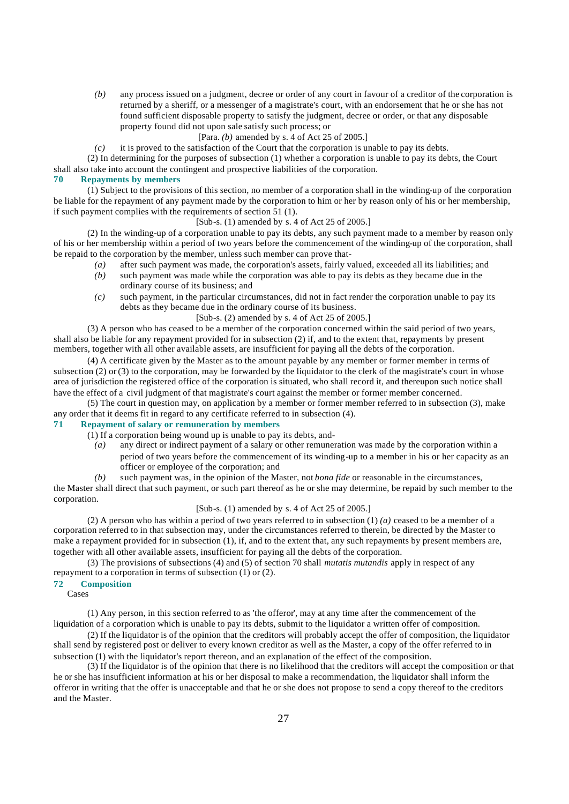*(b)* any process issued on a judgment, decree or order of any court in favour of a creditor of the corporation is returned by a sheriff, or a messenger of a magistrate's court, with an endorsement that he or she has not found sufficient disposable property to satisfy the judgment, decree or order, or that any disposable property found did not upon sale satisfy such process; or

[Para. *(b)* amended by s. 4 of Act 25 of 2005.]

*(c)* it is proved to the satisfaction of the Court that the corporation is unable to pay its debts. (2) In determining for the purposes of subsection (1) whether a corporation is unable to pay its debts, the Court shall also take into account the contingent and prospective liabilities of the corporation.

## **70 Repayments by members**

(1) Subject to the provisions of this section, no member of a corporation shall in the winding-up of the corporation be liable for the repayment of any payment made by the corporation to him or her by reason only of his or her membership, if such payment complies with the requirements of section 51 (1).

[Sub-s. (1) amended by s. 4 of Act 25 of 2005.]

(2) In the winding-up of a corporation unable to pay its debts, any such payment made to a member by reason only of his or her membership within a period of two years before the commencement of the winding-up of the corporation, shall be repaid to the corporation by the member, unless such member can prove that-

- *(a)* after such payment was made, the corporation's assets, fairly valued, exceeded all its liabilities; and
- *(b)* such payment was made while the corporation was able to pay its debts as they became due in the ordinary course of its business; and
- *(c)* such payment, in the particular circumstances, did not in fact render the corporation unable to pay its debts as they became due in the ordinary course of its business.

[Sub-s. (2) amended by s. 4 of Act 25 of 2005.]

(3) A person who has ceased to be a member of the corporation concerned within the said period of two years, shall also be liable for any repayment provided for in subsection (2) if, and to the extent that, repayments by present members, together with all other available assets, are insufficient for paying all the debts of the corporation.

(4) A certificate given by the Master as to the amount payable by any member or former member in terms of subsection  $(2)$  or  $(3)$  to the corporation, may be forwarded by the liquidator to the clerk of the magistrate's court in whose area of jurisdiction the registered office of the corporation is situated, who shall record it, and thereupon such notice shall have the effect of a civil judgment of that magistrate's court against the member or former member concerned.

(5) The court in question may, on application by a member or former member referred to in subsection (3), make any order that it deems fit in regard to any certificate referred to in subsection (4).

#### **71 Repayment of salary or remuneration by members**

- (1) If a corporation being wound up is unable to pay its debts, and-
	- *(a)* any direct or indirect payment of a salary or other remuneration was made by the corporation within a period of two years before the commencement of its winding-up to a member in his or her capacity as an officer or employee of the corporation; and
	- *(b)* such payment was, in the opinion of the Master, not *bona fide* or reasonable in the circumstances,

the Master shall direct that such payment, or such part thereof as he or she may determine, be repaid by such member to the corporation.

## [Sub-s. (1) amended by s. 4 of Act 25 of 2005.]

(2) A person who has within a period of two years referred to in subsection (1) *(a)* ceased to be a member of a corporation referred to in that subsection may, under the circumstances referred to therein, be directed by the Master to make a repayment provided for in subsection (1), if, and to the extent that, any such repayments by present members are, together with all other available assets, insufficient for paying all the debts of the corporation.

(3) The provisions of subsections (4) and (5) of section 70 shall *mutatis mutandis* apply in respect of any repayment to a corporation in terms of subsection (1) or (2).

#### **72 Composition**

Cases

(1) Any person, in this section referred to as 'the offeror', may at any time after the commencement of the liquidation of a corporation which is unable to pay its debts, submit to the liquidator a written offer of composition.

(2) If the liquidator is of the opinion that the creditors will probably accept the offer of composition, the liquidator shall send by registered post or deliver to every known creditor as well as the Master, a copy of the offer referred to in subsection (1) with the liquidator's report thereon, and an explanation of the effect of the composition.

(3) If the liquidator is of the opinion that there is no likelihood that the creditors will accept the composition or that he or she has insufficient information at his or her disposal to make a recommendation, the liquidator shall inform the offeror in writing that the offer is unacceptable and that he or she does not propose to send a copy thereof to the creditors and the Master.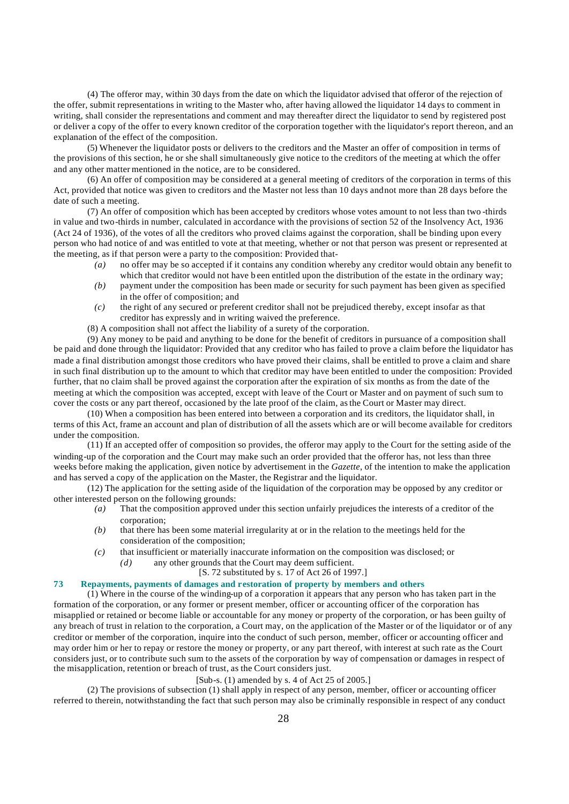(4) The offeror may, within 30 days from the date on which the liquidator advised that offeror of the rejection of the offer, submit representations in writing to the Master who, after having allowed the liquidator 14 days to comment in writing, shall consider the representations and comment and may thereafter direct the liquidator to send by registered post or deliver a copy of the offer to every known creditor of the corporation together with the liquidator's report thereon, and an explanation of the effect of the composition.

(5) Whenever the liquidator posts or delivers to the creditors and the Master an offer of composition in terms of the provisions of this section, he or she shall simultaneously give notice to the creditors of the meeting at which the offer and any other matter mentioned in the notice, are to be considered.

(6) An offer of composition may be considered at a general meeting of creditors of the corporation in terms of this Act, provided that notice was given to creditors and the Master not less than 10 days and not more than 28 days before the date of such a meeting.

(7) An offer of composition which has been accepted by creditors whose votes amount to not less than two -thirds in value and two-thirds in number, calculated in accordance with the provisions of section 52 of the Insolvency Act, 1936 (Act 24 of 1936), of the votes of all the creditors who proved claims against the corporation, shall be binding upon every person who had notice of and was entitled to vote at that meeting, whether or not that person was present or represented at the meeting, as if that person were a party to the composition: Provided that-

- *(a)* no offer may be so accepted if it contains any condition whereby any creditor would obtain any benefit to which that creditor would not have been entitled upon the distribution of the estate in the ordinary way;
- *(b)* payment under the composition has been made or security for such payment has been given as specified in the offer of composition; and
- *(c)* the right of any secured or preferent creditor shall not be prejudiced thereby, except insofar as that creditor has expressly and in writing waived the preference.
- (8) A composition shall not affect the liability of a surety of the corporation.

(9) Any money to be paid and anything to be done for the benefit of creditors in pursuance of a composition shall be paid and done through the liquidator: Provided that any creditor who has failed to prove a claim before the liquidator has made a final distribution amongst those creditors who have proved their claims, shall be entitled to prove a claim and share in such final distribution up to the amount to which that creditor may have been entitled to under the composition: Provided further, that no claim shall be proved against the corporation after the expiration of six months as from the date of the meeting at which the composition was accepted, except with leave of the Court or Master and on payment of such sum to cover the costs or any part thereof, occasioned by the late proof of the claim, as the Court or Master may direct.

(10) When a composition has been entered into between a corporation and its creditors, the liquidator shall, in terms of this Act, frame an account and plan of distribution of all the assets which are or will become available for creditors under the composition.

(11) If an accepted offer of composition so provides, the offeror may apply to the Court for the setting aside of the winding-up of the corporation and the Court may make such an order provided that the offeror has, not less than three weeks before making the application, given notice by advertisement in the *Gazette*, of the intention to make the application and has served a copy of the application on the Master, the Registrar and the liquidator.

(12) The application for the setting aside of the liquidation of the corporation may be opposed by any creditor or other interested person on the following grounds:

- *(a)* That the composition approved under this section unfairly prejudices the interests of a creditor of the corporation;
- *(b)* that there has been some material irregularity at or in the relation to the meetings held for the consideration of the composition;
- *(c)* that insufficient or materially inaccurate information on the composition was disclosed; or
	- *(d)* any other grounds that the Court may deem sufficient.

# [S. 72 substituted by s. 17 of Act 26 of 1997.]

# **73 Repayments, payments of damages and restoration of property by members and others**

(1) Where in the course of the winding-up of a corporation it appears that any person who has taken part in the formation of the corporation, or any former or present member, officer or accounting officer of the corporation has misapplied or retained or become liable or accountable for any money or property of the corporation, or has been guilty of any breach of trust in relation to the corporation, a Court may, on the application of the Master or of the liquidator or of any creditor or member of the corporation, inquire into the conduct of such person, member, officer or accounting officer and may order him or her to repay or restore the money or property, or any part thereof, with interest at such rate as the Court considers just, or to contribute such sum to the assets of the corporation by way of compensation or damages in respect of the misapplication, retention or breach of trust, as the Court considers just.

## [Sub-s. (1) amended by s. 4 of Act 25 of 2005.]

(2) The provisions of subsection (1) shall apply in respect of any person, member, officer or accounting officer referred to therein, notwithstanding the fact that such person may also be criminally responsible in respect of any conduct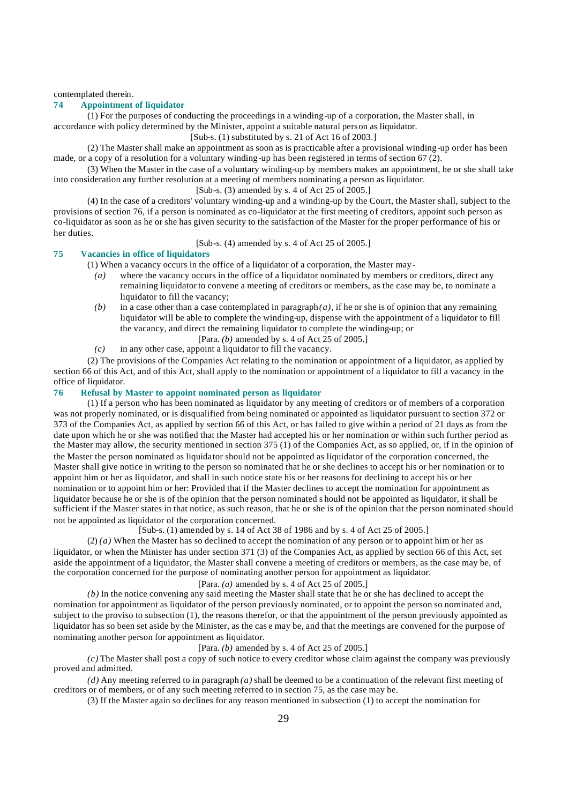contemplated therein.

#### **74 Appointment of liquidator**

(1) For the purposes of conducting the proceedings in a winding-up of a corporation, the Master shall, in accordance with policy determined by the Minister, appoint a suitable natural person as liquidator.

[Sub-s. (1) substituted by s. 21 of Act 16 of 2003.]

(2) The Master shall make an appointment as soon as is practicable after a provisional winding-up order has been made, or a copy of a resolution for a voluntary winding-up has been registered in terms of section 67 (2).

(3) When the Master in the case of a voluntary winding-up by members makes an appointment, he or she shall take into consideration any further resolution at a meeting of members nominating a person as liquidator.

[Sub-s. (3) amended by s. 4 of Act 25 of 2005.]

(4) In the case of a creditors' voluntary winding-up and a winding-up by the Court, the Master shall, subject to the provisions of section 76, if a person is nominated as co-liquidator at the first meeting of creditors, appoint such person as co-liquidator as soon as he or she has given security to the satisfaction of the Master for the proper performance of his or her duties.

[Sub-s. (4) amended by s. 4 of Act 25 of 2005.]

### **75 Vacancies in office of liquidators**

(1) When a vacancy occurs in the office of a liquidator of a corporation, the Master may-

- *(a)* where the vacancy occurs in the office of a liquidator nominated by members or creditors, direct any remaining liquidator to convene a meeting of creditors or members, as the case may be, to nominate a liquidator to fill the vacancy;
- $(b)$  in a case other than a case contemplated in paragraph  $(a)$ , if he or she is of opinion that any remaining liquidator will be able to complete the winding-up, dispense with the appointment of a liquidator to fill the vacancy, and direct the remaining liquidator to complete the winding-up; or
	- [Para. *(b)* amended by s. 4 of Act 25 of 2005.]
- *(c)* in any other case, appoint a liquidator to fill the vacancy.

(2) The provisions of the Companies Act relating to the nomination or appointment of a liquidator, as applied by section 66 of this Act, and of this Act, shall apply to the nomination or appointment of a liquidator to fill a vacancy in the office of liquidator.

# **76 Refusal by Master to appoint nominated person as liquidator**

(1) If a person who has been nominated as liquidator by any meeting of creditors or of members of a corporation was not properly nominated, or is disqualified from being nominated or appointed as liquidator pursuant to section 372 or 373 of the Companies Act, as applied by section 66 of this Act, or has failed to give within a period of 21 days as from the date upon which he or she was notified that the Master had accepted his or her nomination or within such further period as the Master may allow, the security mentioned in section 375 (1) of the Companies Act, as so applied, or, if in the opinion of the Master the person nominated as liquidator should not be appointed as liquidator of the corporation concerned, the Master shall give notice in writing to the person so nominated that he or she declines to accept his or her nomination or to appoint him or her as liquidator, and shall in such notice state his or her reasons for declining to accept his or her nomination or to appoint him or her: Provided that if the Master declines to accept the nomination for appointment as liquidator because he or she is of the opinion that the person nominated s hould not be appointed as liquidator, it shall be sufficient if the Master states in that notice, as such reason, that he or she is of the opinion that the person nominated should not be appointed as liquidator of the corporation concerned.

[Sub-s. (1) amended by s. 14 of Act 38 of 1986 and by s. 4 of Act 25 of 2005.]

(2) *(a)* When the Master has so declined to accept the nomination of any person or to appoint him or her as liquidator, or when the Minister has under section 371 (3) of the Companies Act, as applied by section 66 of this Act, set aside the appointment of a liquidator, the Master shall convene a meeting of creditors or members, as the case may be, of the corporation concerned for the purpose of nominating another person for appointment as liquidator.

# [Para. *(a)* amended by s. 4 of Act 25 of 2005.]

*(b)* In the notice convening any said meeting the Master shall state that he or she has declined to accept the nomination for appointment as liquidator of the person previously nominated, or to appoint the person so nominated and, subject to the proviso to subsection (1), the reasons therefor, or that the appointment of the person previously appointed as liquidator has so been set aside by the Minister, as the cas e may be, and that the meetings are convened for the purpose of nominating another person for appointment as liquidator.

### [Para. *(b)* amended by s. 4 of Act 25 of 2005.]

*(c)* The Master shall post a copy of such notice to every creditor whose claim against the company was previously proved and admitted.

*(d)* Any meeting referred to in paragraph *(a)* shall be deemed to be a continuation of the relevant first meeting of creditors or of members, or of any such meeting referred to in section 75, as the case may be.

(3) If the Master again so declines for any reason mentioned in subsection (1) to accept the nomination for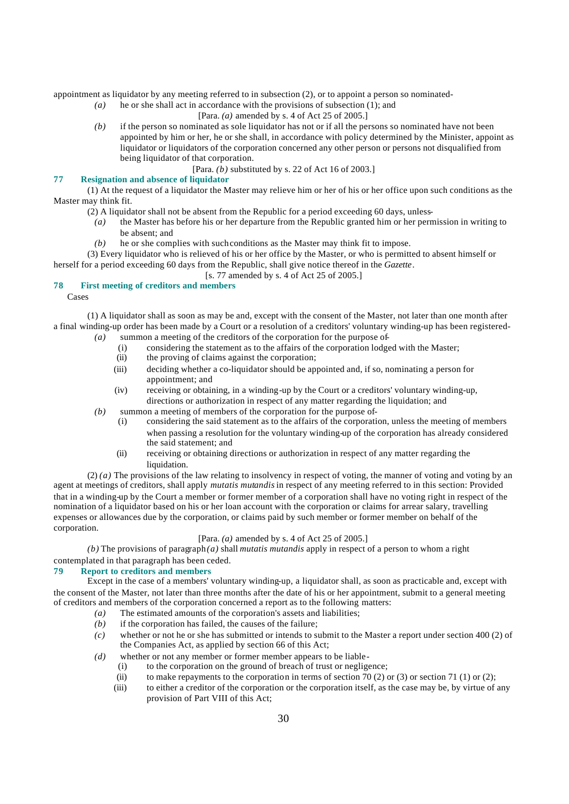appointment as liquidator by any meeting referred to in subsection (2), or to appoint a person so nominated-

*(a)* he or she shall act in accordance with the provisions of subsection (1); and

[Para. *(a)* amended by s. 4 of Act 25 of 2005.]

*(b)* if the person so nominated as sole liquidator has not or if all the persons so nominated have not been appointed by him or her, he or she shall, in accordance with policy determined by the Minister, appoint as liquidator or liquidators of the corporation concerned any other person or persons not disqualified from being liquidator of that corporation.

[Para. *(b)* substituted by s. 22 of Act 16 of 2003.]

## **77 Resignation and absence of liquidator**

(1) At the request of a liquidator the Master may relieve him or her of his or her office upon such conditions as the Master may think fit.

- (2) A liquidator shall not be absent from the Republic for a period exceeding 60 days, unless-
- *(a)* the Master has before his or her departure from the Republic granted him or her permission in writing to be absent; and
- *(b)* he or she complies with such conditions as the Master may think fit to impose.

(3) Every liquidator who is relieved of his or her office by the Master, or who is permitted to absent himself or herself for a period exceeding 60 days from the Republic, shall give notice thereof in the *Gazette*.

[s. 77 amended by s. 4 of Act 25 of 2005.]

## **78 First meeting of creditors and members**

Cases

(1) A liquidator shall as soon as may be and, except with the consent of the Master, not later than one month after a final winding-up order has been made by a Court or a resolution of a creditors' voluntary winding-up has been registered- *(a)* summon a meeting of the creditors of the corporation for the purpose of-

- (i) considering the statement as to the affairs of the corporation lodged with the Master;
- (ii) the proving of claims against the corporation;
- (iii) deciding whether a co-liquidator should be appointed and, if so, nominating a person for appointment; and
- (iv) receiving or obtaining, in a winding-up by the Court or a creditors' voluntary winding-up, directions or authorization in respect of any matter regarding the liquidation; and
- *(b)* summon a meeting of members of the corporation for the purpose of-
	- (i) considering the said statement as to the affairs of the corporation, unless the meeting of members when passing a resolution for the voluntary winding-up of the corporation has already considered the said statement; and
	- (ii) receiving or obtaining directions or authorization in respect of any matter regarding the liquidation.

(2) *(a)* The provisions of the law relating to insolvency in respect of voting, the manner of voting and voting by an agent at meetings of creditors, shall apply *mutatis mutandis* in respect of any meeting referred to in this section: Provided that in a winding-up by the Court a member or former member of a corporation shall have no voting right in respect of the nomination of a liquidator based on his or her loan account with the corporation or claims for arrear salary, travelling expenses or allowances due by the corporation, or claims paid by such member or former member on behalf of the corporation.

# [Para. *(a)* amended by s. 4 of Act 25 of 2005.]

 $(b)$  The provisions of paragraph $(a)$  shall *mutatis mutandis* apply in respect of a person to whom a right contemplated in that paragraph has been ceded.

# **79 Report to creditors and members**

Except in the case of a members' voluntary winding-up, a liquidator shall, as soon as practicable and, except with the consent of the Master, not later than three months after the date of his or her appointment, submit to a general meeting of creditors and members of the corporation concerned a report as to the following matters:

- *(a)* The estimated amounts of the corporation's assets and liabilities;
- *(b)* if the corporation has failed, the causes of the failure;
- *(c)* whether or not he or she has submitted or intends to submit to the Master a report under section 400 (2) of the Companies Act, as applied by section 66 of this Act;
- *(d)* whether or not any member or former member appears to be liable-
	- (i) to the corporation on the ground of breach of trust or negligence;
	- (ii) to make repayments to the corporation in terms of section 70 (2) or (3) or section 71 (1) or (2);
	- (iii) to either a creditor of the corporation or the corporation itself, as the case may be, by virtue of any provision of Part VIII of this Act;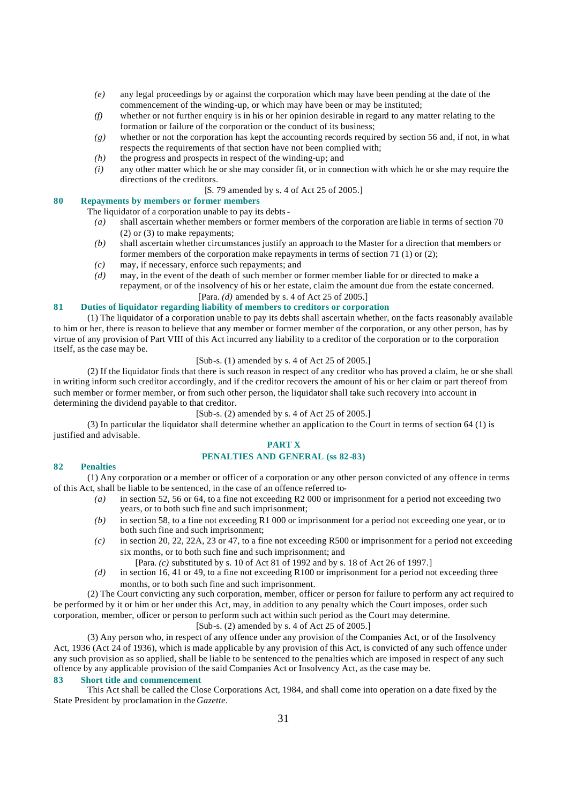- *(e)* any legal proceedings by or against the corporation which may have been pending at the date of the commencement of the winding-up, or which may have been or may be instituted;
- *(f)* whether or not further enquiry is in his or her opinion desirable in regard to any matter relating to the formation or failure of the corporation or the conduct of its business;
- *(g)* whether or not the corporation has kept the accounting records required by section 56 and, if not, in what respects the requirements of that section have not been complied with;
- *(h)* the progress and prospects in respect of the winding-up; and
- *(i)* any other matter which he or she may consider fit, or in connection with which he or she may require the directions of the creditors.

## [S. 79 amended by s. 4 of Act 25 of 2005.]

# **80 Repayments by members or former members**

The liquidator of a corporation unable to pay its debts-

- *(a)* shall ascertain whether members or former members of the corporation are liable in terms of section 70 (2) or (3) to make repayments;
- *(b)* shall ascertain whether circumstances justify an approach to the Master for a direction that members or former members of the corporation make repayments in terms of section 71 (1) or (2);
- *(c)* may, if necessary, enforce such repayments; and
- *(d)* may, in the event of the death of such member or former member liable for or directed to make a repayment, or of the insolvency of his or her estate, claim the amount due from the estate concerned.
	- [Para. *(d)* amended by s. 4 of Act 25 of 2005.]

# **81 Duties of liquidator regarding liability of members to creditors or corporation**

(1) The liquidator of a corporation unable to pay its debts shall ascertain whether, on the facts reasonably available to him or her, there is reason to believe that any member or former member of the corporation, or any other person, has by virtue of any provision of Part VIII of this Act incurred any liability to a creditor of the corporation or to the corporation itself, as the case may be.

# [Sub-s. (1) amended by s. 4 of Act 25 of 2005.]

(2) If the liquidator finds that there is such reason in respect of any creditor who has proved a claim, he or she shall in writing inform such creditor accordingly, and if the creditor recovers the amount of his or her claim or part thereof from such member or former member, or from such other person, the liquidator shall take such recovery into account in determining the dividend payable to that creditor.

# [Sub-s. (2) amended by s. 4 of Act 25 of 2005.]

(3) In particular the liquidator shall determine whether an application to the Court in terms of section 64 (1) is justified and advisable.

# **PART X**

# **PENALTIES AND GENERAL (ss 82-83)**

# **82 Penalties**

(1) Any corporation or a member or officer of a corporation or any other person convicted of any offence in terms of this Act, shall be liable to be sentenced, in the case of an offence referred to-

- *(a)* in section 52, 56 or 64, to a fine not exceeding R2 000 or imprisonment for a period not exceeding two years, or to both such fine and such imprisonment;
- *(b)* in section 58, to a fine not exceeding R1 000 or imprisonment for a period not exceeding one year, or to both such fine and such imprisonment;
- *(c)* in section 20, 22, 22A, 23 or 47, to a fine not exceeding R500 or imprisonment for a period not exceeding six months, or to both such fine and such imprisonment; and
	- [Para. *(c)* substituted by s. 10 of Act 81 of 1992 and by s. 18 of Act 26 of 1997.]
- *(d)* in section 16, 41 or 49, to a fine not exceeding R100 or imprisonment for a period not exceeding three months, or to both such fine and such imprisonment.

(2) The Court convicting any such corporation, member, officer or person for failure to perform any act required to be performed by it or him or her under this Act, may, in addition to any penalty which the Court imposes, order such corporation, member, officer or person to perform such act within such period as the Court may determine.

[Sub-s. (2) amended by s. 4 of Act 25 of 2005.]

(3) Any person who, in respect of any offence under any provision of the Companies Act, or of the Insolvency Act, 1936 (Act 24 of 1936), which is made applicable by any provision of this Act, is convicted of any such offence under any such provision as so applied, shall be liable to be sentenced to the penalties which are imposed in respect of any such offence by any applicable provision of the said Companies Act or Insolvency Act, as the case may be.

# **83 Short title and commencement**

This Act shall be called the Close Corporations Act, 1984, and shall come into operation on a date fixed by the State President by proclamation in the *Gazette*.